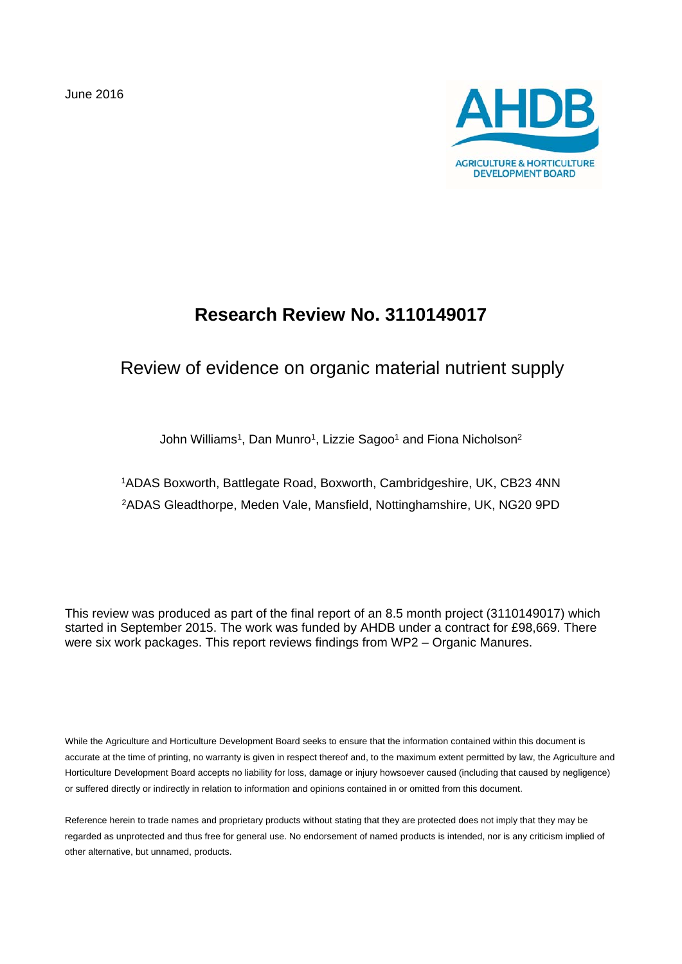June 2016



# **Research Review No. 3110149017**

# Review of evidence on organic material nutrient supply

John Williams<sup>1</sup>, Dan Munro<sup>1</sup>, Lizzie Sagoo<sup>1</sup> and Fiona Nicholson<sup>2</sup>

1ADAS Boxworth, Battlegate Road, Boxworth, Cambridgeshire, UK, CB23 4NN 2ADAS Gleadthorpe, Meden Vale, Mansfield, Nottinghamshire, UK, NG20 9PD

This review was produced as part of the final report of an 8.5 month project (3110149017) which started in September 2015. The work was funded by AHDB under a contract for £98,669. There were six work packages. This report reviews findings from WP2 – Organic Manures.

While the Agriculture and Horticulture Development Board seeks to ensure that the information contained within this document is accurate at the time of printing, no warranty is given in respect thereof and, to the maximum extent permitted by law, the Agriculture and Horticulture Development Board accepts no liability for loss, damage or injury howsoever caused (including that caused by negligence) or suffered directly or indirectly in relation to information and opinions contained in or omitted from this document.

Reference herein to trade names and proprietary products without stating that they are protected does not imply that they may be regarded as unprotected and thus free for general use. No endorsement of named products is intended, nor is any criticism implied of other alternative, but unnamed, products.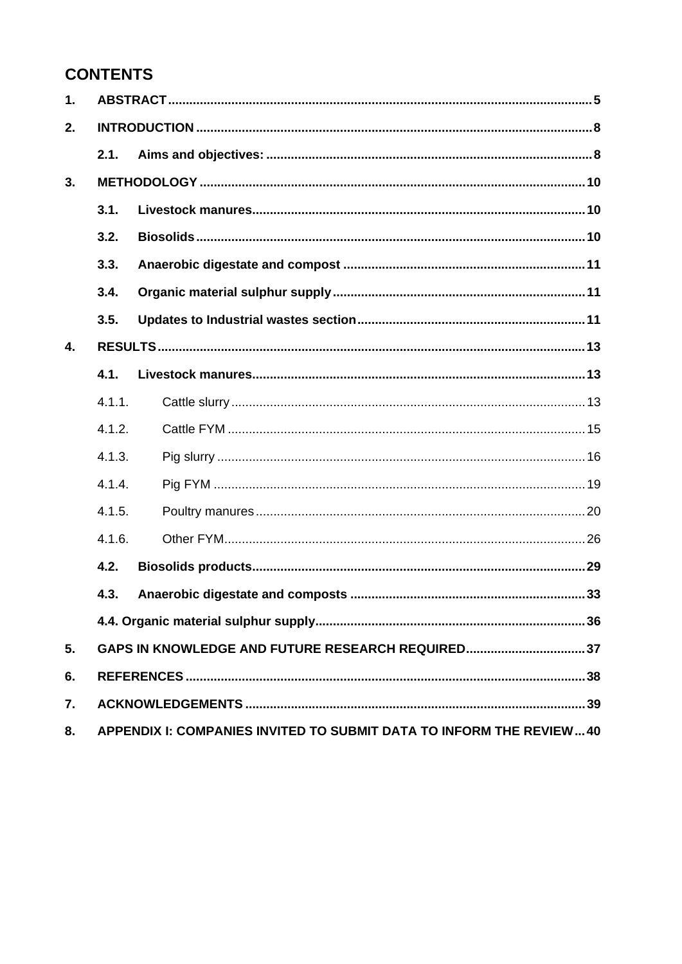# **CONTENTS**

| $\mathbf 1$ .    |        |                                                                     |
|------------------|--------|---------------------------------------------------------------------|
| 2.               |        |                                                                     |
|                  | 2.1.   |                                                                     |
| 3.               |        |                                                                     |
|                  | 3.1.   |                                                                     |
|                  | 3.2.   |                                                                     |
|                  | 3.3.   |                                                                     |
|                  | 3.4.   |                                                                     |
|                  | 3.5.   |                                                                     |
| $\overline{4}$ . |        |                                                                     |
|                  | 4.1.   |                                                                     |
|                  | 4.1.1. |                                                                     |
|                  | 4.1.2. |                                                                     |
|                  | 4.1.3. |                                                                     |
|                  | 4.1.4. |                                                                     |
|                  | 4.1.5. |                                                                     |
|                  | 4.1.6. |                                                                     |
|                  | 4.2.   |                                                                     |
|                  | 4.3.   |                                                                     |
|                  |        |                                                                     |
| 5.               |        | GAPS IN KNOWLEDGE AND FUTURE RESEARCH REQUIRED 37                   |
| 6.               |        |                                                                     |
| 7.               |        |                                                                     |
| 8.               |        | APPENDIX I: COMPANIES INVITED TO SUBMIT DATA TO INFORM THE REVIEW40 |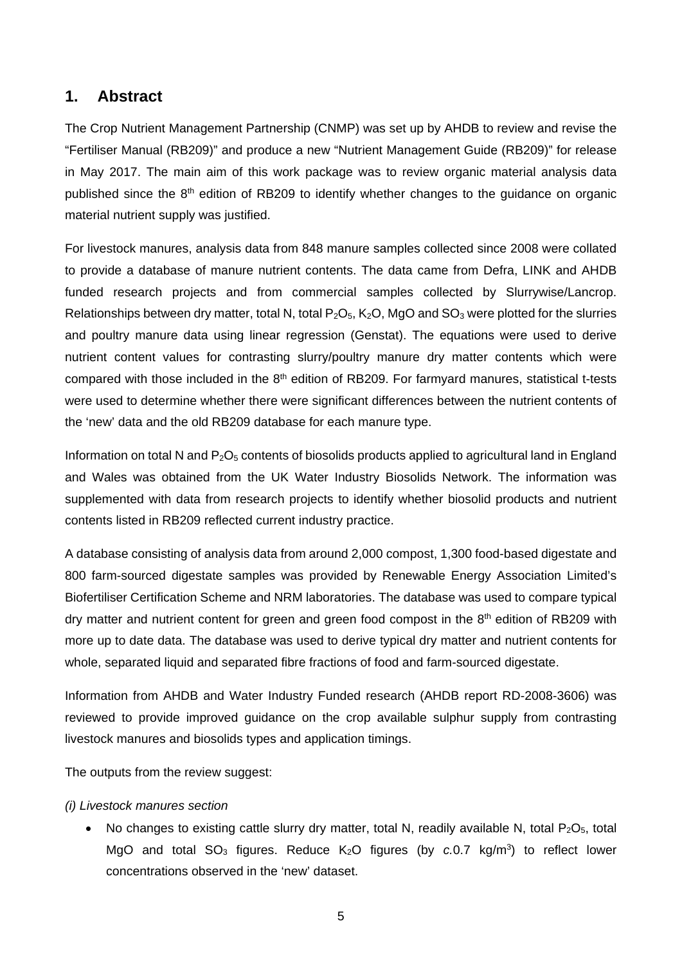## **1. Abstract**

The Crop Nutrient Management Partnership (CNMP) was set up by AHDB to review and revise the "Fertiliser Manual (RB209)" and produce a new "Nutrient Management Guide (RB209)" for release in May 2017. The main aim of this work package was to review organic material analysis data published since the 8<sup>th</sup> edition of RB209 to identify whether changes to the guidance on organic material nutrient supply was justified.

For livestock manures, analysis data from 848 manure samples collected since 2008 were collated to provide a database of manure nutrient contents. The data came from Defra, LINK and AHDB funded research projects and from commercial samples collected by Slurrywise/Lancrop. Relationships between dry matter, total N, total  $P_2O_5$ ,  $K_2O$ , MgO and SO<sub>3</sub> were plotted for the slurries and poultry manure data using linear regression (Genstat). The equations were used to derive nutrient content values for contrasting slurry/poultry manure dry matter contents which were compared with those included in the 8<sup>th</sup> edition of RB209. For farmyard manures, statistical t-tests were used to determine whether there were significant differences between the nutrient contents of the 'new' data and the old RB209 database for each manure type.

Information on total N and  $P_2O_5$  contents of biosolids products applied to agricultural land in England and Wales was obtained from the UK Water Industry Biosolids Network. The information was supplemented with data from research projects to identify whether biosolid products and nutrient contents listed in RB209 reflected current industry practice.

A database consisting of analysis data from around 2,000 compost, 1,300 food-based digestate and 800 farm-sourced digestate samples was provided by Renewable Energy Association Limited's Biofertiliser Certification Scheme and NRM laboratories. The database was used to compare typical dry matter and nutrient content for green and green food compost in the 8<sup>th</sup> edition of RB209 with more up to date data. The database was used to derive typical dry matter and nutrient contents for whole, separated liquid and separated fibre fractions of food and farm-sourced digestate.

Information from AHDB and Water Industry Funded research (AHDB report RD-2008-3606) was reviewed to provide improved guidance on the crop available sulphur supply from contrasting livestock manures and biosolids types and application timings.

The outputs from the review suggest:

#### *(i) Livestock manures section*

• No changes to existing cattle slurry dry matter, total N, readily available N, total  $P_2O_5$ , total MgO and total  $SO_3$  figures. Reduce  $K_2O$  figures (by  $c.0.7$  kg/m<sup>3</sup>) to reflect lower concentrations observed in the 'new' dataset.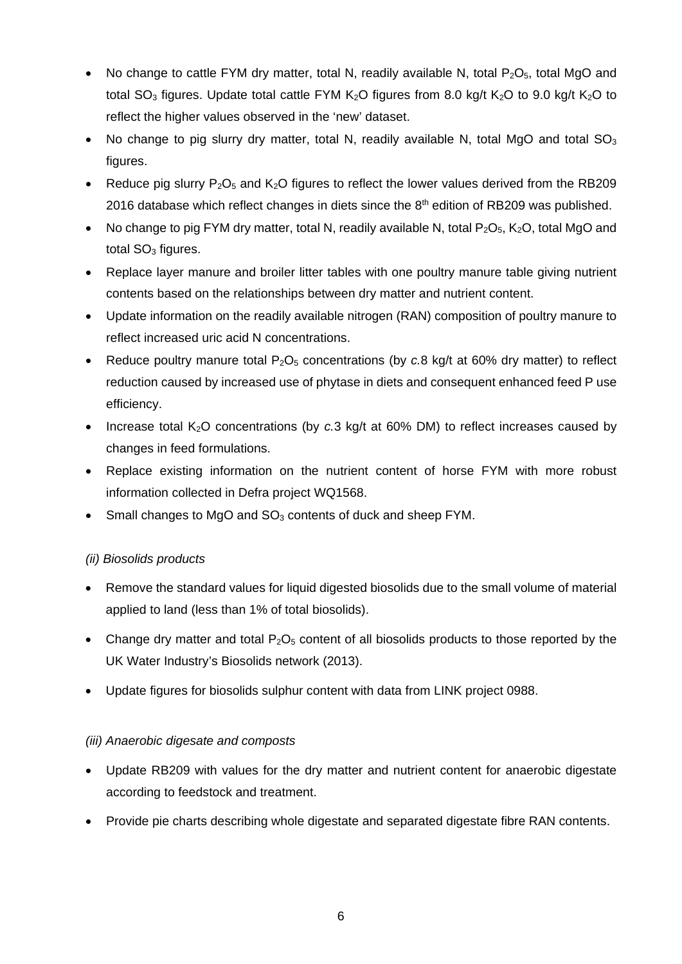- No change to cattle FYM dry matter, total N, readily available N, total  $P_2O_5$ , total MgO and total SO<sub>3</sub> figures. Update total cattle FYM K<sub>2</sub>O figures from 8.0 kg/t K<sub>2</sub>O to 9.0 kg/t K<sub>2</sub>O to reflect the higher values observed in the 'new' dataset.
- No change to pig slurry dry matter, total N, readily available N, total MgO and total  $SO<sub>3</sub>$ figures.
- Reduce pig slurry  $P_2O_5$  and  $K_2O$  figures to reflect the lower values derived from the RB209 2016 database which reflect changes in diets since the  $8<sup>th</sup>$  edition of RB209 was published.
- No change to pig FYM dry matter, total N, readily available N, total P<sub>2</sub>O<sub>5</sub>, K<sub>2</sub>O, total MgO and total  $SO<sub>3</sub>$  figures.
- Replace layer manure and broiler litter tables with one poultry manure table giving nutrient contents based on the relationships between dry matter and nutrient content.
- Update information on the readily available nitrogen (RAN) composition of poultry manure to reflect increased uric acid N concentrations.
- Reduce poultry manure total  $P_2O_5$  concentrations (by  $c.8$  kg/t at 60% dry matter) to reflect reduction caused by increased use of phytase in diets and consequent enhanced feed P use efficiency.
- Increase total K<sub>2</sub>O concentrations (by *c.*3 kg/t at 60% DM) to reflect increases caused by changes in feed formulations.
- Replace existing information on the nutrient content of horse FYM with more robust information collected in Defra project WQ1568.
- Small changes to MgO and SO<sub>3</sub> contents of duck and sheep FYM.

## *(ii) Biosolids products*

- Remove the standard values for liquid digested biosolids due to the small volume of material applied to land (less than 1% of total biosolids).
- Change dry matter and total  $P_2O_5$  content of all biosolids products to those reported by the UK Water Industry's Biosolids network (2013).
- Update figures for biosolids sulphur content with data from LINK project 0988.

## *(iii) Anaerobic digesate and composts*

- Update RB209 with values for the dry matter and nutrient content for anaerobic digestate according to feedstock and treatment.
- Provide pie charts describing whole digestate and separated digestate fibre RAN contents.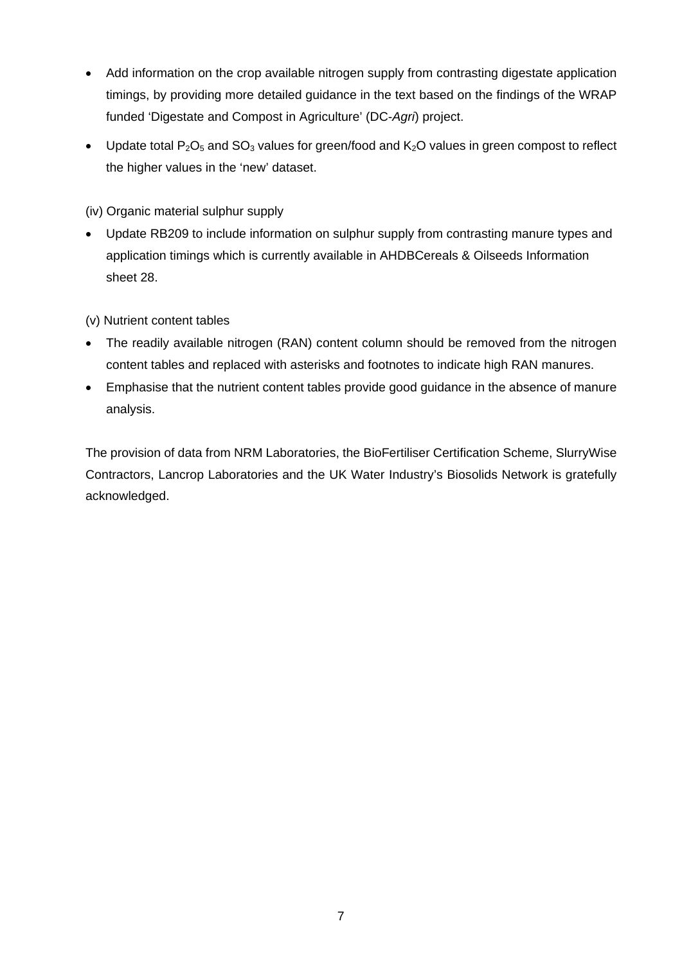- Add information on the crop available nitrogen supply from contrasting digestate application timings, by providing more detailed guidance in the text based on the findings of the WRAP funded 'Digestate and Compost in Agriculture' (DC-*Agri*) project.
- Update total  $P_2O_5$  and  $SO_3$  values for green/food and  $K_2O$  values in green compost to reflect the higher values in the 'new' dataset.
- (iv) Organic material sulphur supply
- Update RB209 to include information on sulphur supply from contrasting manure types and application timings which is currently available in AHDBCereals & Oilseeds Information sheet 28.
- (v) Nutrient content tables
- The readily available nitrogen (RAN) content column should be removed from the nitrogen content tables and replaced with asterisks and footnotes to indicate high RAN manures.
- Emphasise that the nutrient content tables provide good guidance in the absence of manure analysis.

The provision of data from NRM Laboratories, the BioFertiliser Certification Scheme, SlurryWise Contractors, Lancrop Laboratories and the UK Water Industry's Biosolids Network is gratefully acknowledged.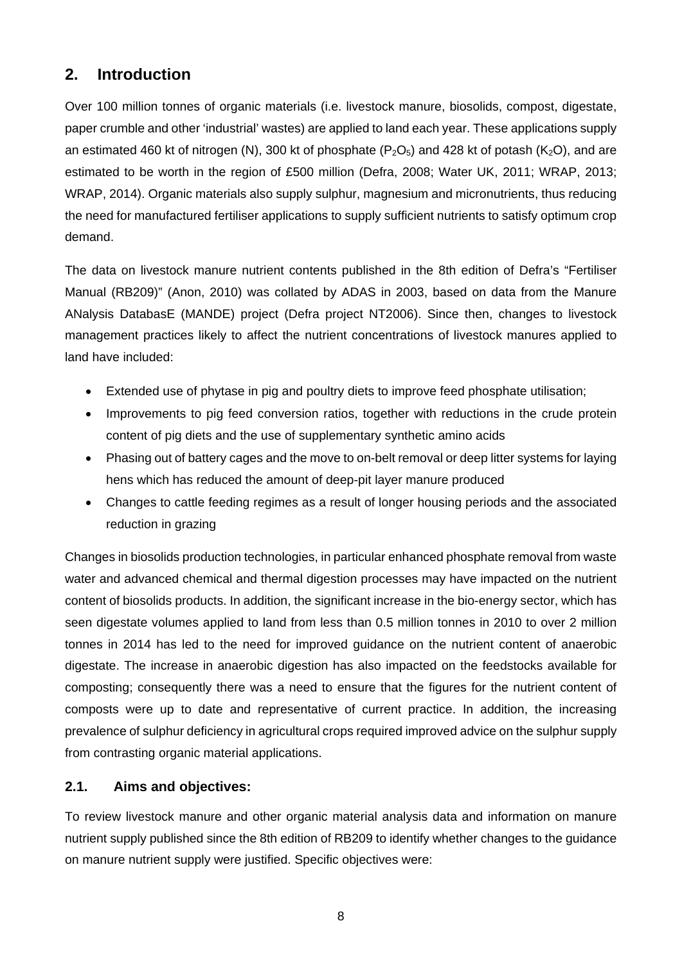## **2. Introduction**

Over 100 million tonnes of organic materials (i.e. livestock manure, biosolids, compost, digestate, paper crumble and other 'industrial' wastes) are applied to land each year. These applications supply an estimated 460 kt of nitrogen (N), 300 kt of phosphate ( $P_2O_5$ ) and 428 kt of potash (K<sub>2</sub>O), and are estimated to be worth in the region of £500 million (Defra, 2008; Water UK, 2011; WRAP, 2013; WRAP, 2014). Organic materials also supply sulphur, magnesium and micronutrients, thus reducing the need for manufactured fertiliser applications to supply sufficient nutrients to satisfy optimum crop demand.

The data on livestock manure nutrient contents published in the 8th edition of Defra's "Fertiliser Manual (RB209)" (Anon, 2010) was collated by ADAS in 2003, based on data from the Manure ANalysis DatabasE (MANDE) project (Defra project NT2006). Since then, changes to livestock management practices likely to affect the nutrient concentrations of livestock manures applied to land have included:

- Extended use of phytase in pig and poultry diets to improve feed phosphate utilisation;
- Improvements to pig feed conversion ratios, together with reductions in the crude protein content of pig diets and the use of supplementary synthetic amino acids
- Phasing out of battery cages and the move to on-belt removal or deep litter systems for laying hens which has reduced the amount of deep-pit layer manure produced
- Changes to cattle feeding regimes as a result of longer housing periods and the associated reduction in grazing

Changes in biosolids production technologies, in particular enhanced phosphate removal from waste water and advanced chemical and thermal digestion processes may have impacted on the nutrient content of biosolids products. In addition, the significant increase in the bio-energy sector, which has seen digestate volumes applied to land from less than 0.5 million tonnes in 2010 to over 2 million tonnes in 2014 has led to the need for improved guidance on the nutrient content of anaerobic digestate. The increase in anaerobic digestion has also impacted on the feedstocks available for composting; consequently there was a need to ensure that the figures for the nutrient content of composts were up to date and representative of current practice. In addition, the increasing prevalence of sulphur deficiency in agricultural crops required improved advice on the sulphur supply from contrasting organic material applications.

## **2.1. Aims and objectives:**

To review livestock manure and other organic material analysis data and information on manure nutrient supply published since the 8th edition of RB209 to identify whether changes to the guidance on manure nutrient supply were justified. Specific objectives were: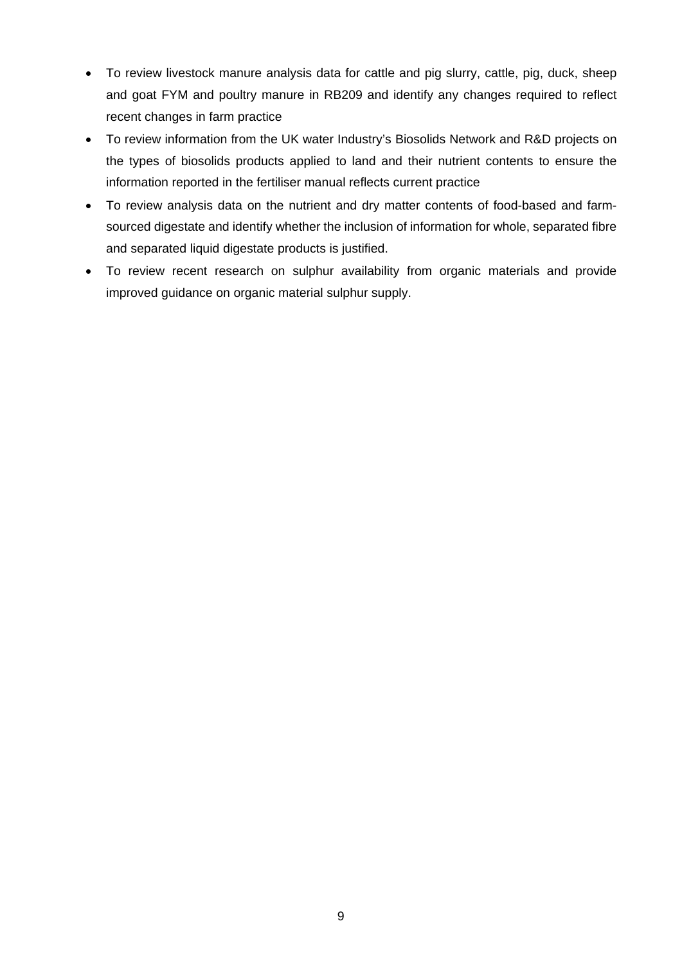- To review livestock manure analysis data for cattle and pig slurry, cattle, pig, duck, sheep and goat FYM and poultry manure in RB209 and identify any changes required to reflect recent changes in farm practice
- To review information from the UK water Industry's Biosolids Network and R&D projects on the types of biosolids products applied to land and their nutrient contents to ensure the information reported in the fertiliser manual reflects current practice
- To review analysis data on the nutrient and dry matter contents of food-based and farmsourced digestate and identify whether the inclusion of information for whole, separated fibre and separated liquid digestate products is justified.
- To review recent research on sulphur availability from organic materials and provide improved guidance on organic material sulphur supply.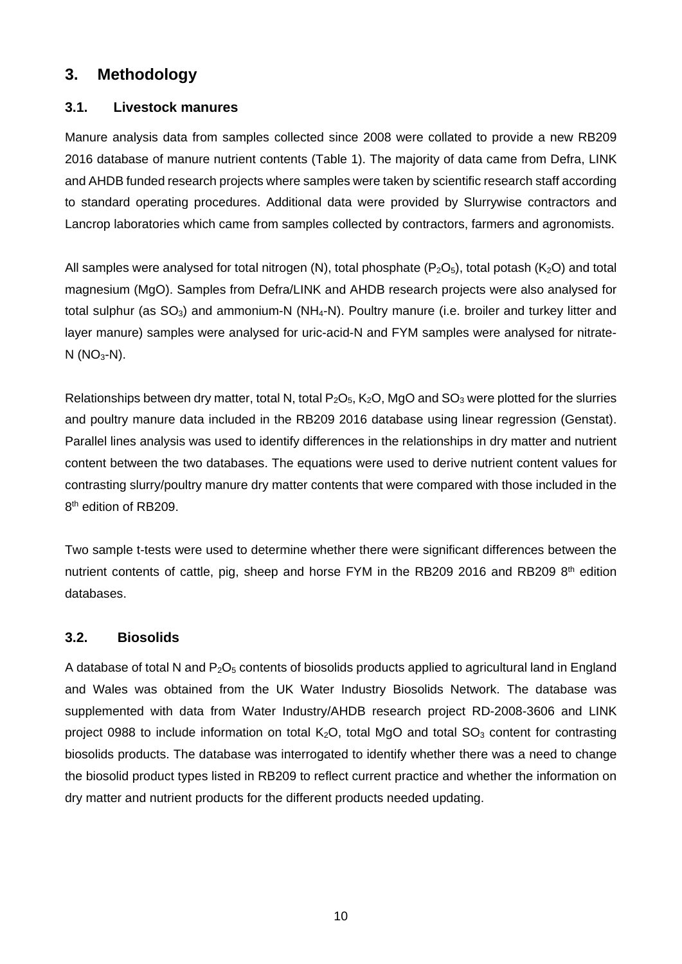## **3. Methodology**

## **3.1. Livestock manures**

Manure analysis data from samples collected since 2008 were collated to provide a new RB209 2016 database of manure nutrient contents (Table 1). The majority of data came from Defra, LINK and AHDB funded research projects where samples were taken by scientific research staff according to standard operating procedures. Additional data were provided by Slurrywise contractors and Lancrop laboratories which came from samples collected by contractors, farmers and agronomists.

All samples were analysed for total nitrogen (N), total phosphate  $(P_2O_5)$ , total potash (K<sub>2</sub>O) and total magnesium (MgO). Samples from Defra/LINK and AHDB research projects were also analysed for total sulphur (as  $SO_3$ ) and ammonium-N (NH<sub>4</sub>-N). Poultry manure (i.e. broiler and turkey litter and layer manure) samples were analysed for uric-acid-N and FYM samples were analysed for nitrate- $N (NO<sub>3</sub>-N).$ 

Relationships between dry matter, total N, total  $P_2O_5$ ,  $K_2O$ , MgO and SO<sub>3</sub> were plotted for the slurries and poultry manure data included in the RB209 2016 database using linear regression (Genstat). Parallel lines analysis was used to identify differences in the relationships in dry matter and nutrient content between the two databases. The equations were used to derive nutrient content values for contrasting slurry/poultry manure dry matter contents that were compared with those included in the 8<sup>th</sup> edition of RB209.

Two sample t-tests were used to determine whether there were significant differences between the nutrient contents of cattle, pig, sheep and horse FYM in the RB209 2016 and RB209 8<sup>th</sup> edition databases.

## **3.2. Biosolids**

A database of total N and  $P_2O_5$  contents of biosolids products applied to agricultural land in England and Wales was obtained from the UK Water Industry Biosolids Network. The database was supplemented with data from Water Industry/AHDB research project RD-2008-3606 and LINK project 0988 to include information on total  $K_2O$ , total MgO and total  $SO_3$  content for contrasting biosolids products. The database was interrogated to identify whether there was a need to change the biosolid product types listed in RB209 to reflect current practice and whether the information on dry matter and nutrient products for the different products needed updating.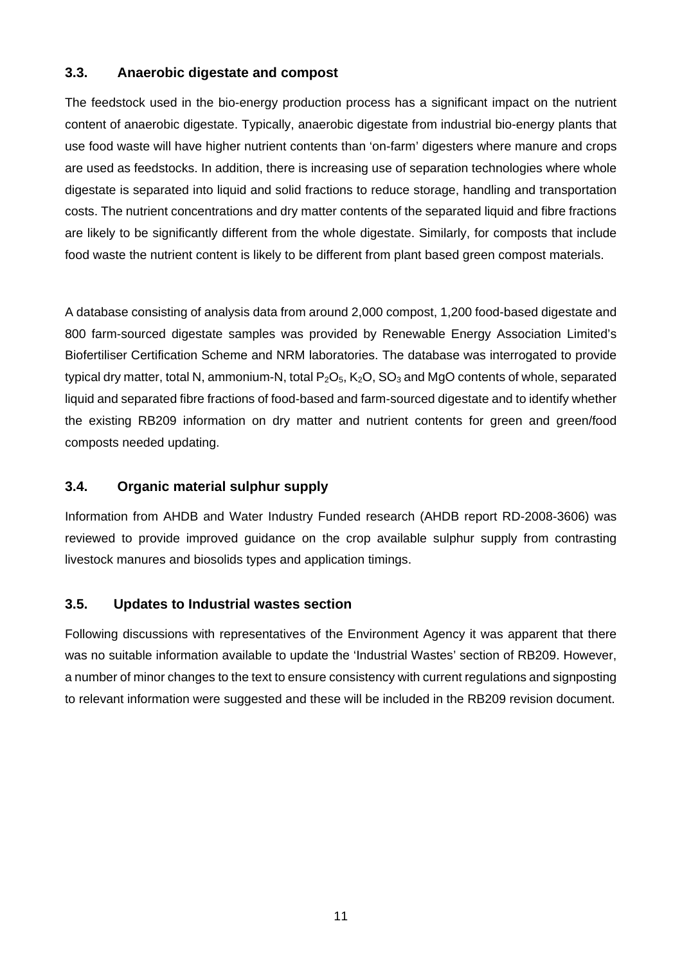### **3.3. Anaerobic digestate and compost**

The feedstock used in the bio-energy production process has a significant impact on the nutrient content of anaerobic digestate. Typically, anaerobic digestate from industrial bio-energy plants that use food waste will have higher nutrient contents than 'on-farm' digesters where manure and crops are used as feedstocks. In addition, there is increasing use of separation technologies where whole digestate is separated into liquid and solid fractions to reduce storage, handling and transportation costs. The nutrient concentrations and dry matter contents of the separated liquid and fibre fractions are likely to be significantly different from the whole digestate. Similarly, for composts that include food waste the nutrient content is likely to be different from plant based green compost materials.

A database consisting of analysis data from around 2,000 compost, 1,200 food-based digestate and 800 farm-sourced digestate samples was provided by Renewable Energy Association Limited's Biofertiliser Certification Scheme and NRM laboratories. The database was interrogated to provide typical dry matter, total N, ammonium-N, total  $P_2O_5$ ,  $K_2O$ ,  $SO_3$  and MgO contents of whole, separated liquid and separated fibre fractions of food-based and farm-sourced digestate and to identify whether the existing RB209 information on dry matter and nutrient contents for green and green/food composts needed updating.

#### **3.4. Organic material sulphur supply**

Information from AHDB and Water Industry Funded research (AHDB report RD-2008-3606) was reviewed to provide improved guidance on the crop available sulphur supply from contrasting livestock manures and biosolids types and application timings.

#### **3.5. Updates to Industrial wastes section**

Following discussions with representatives of the Environment Agency it was apparent that there was no suitable information available to update the 'Industrial Wastes' section of RB209. However, a number of minor changes to the text to ensure consistency with current regulations and signposting to relevant information were suggested and these will be included in the RB209 revision document.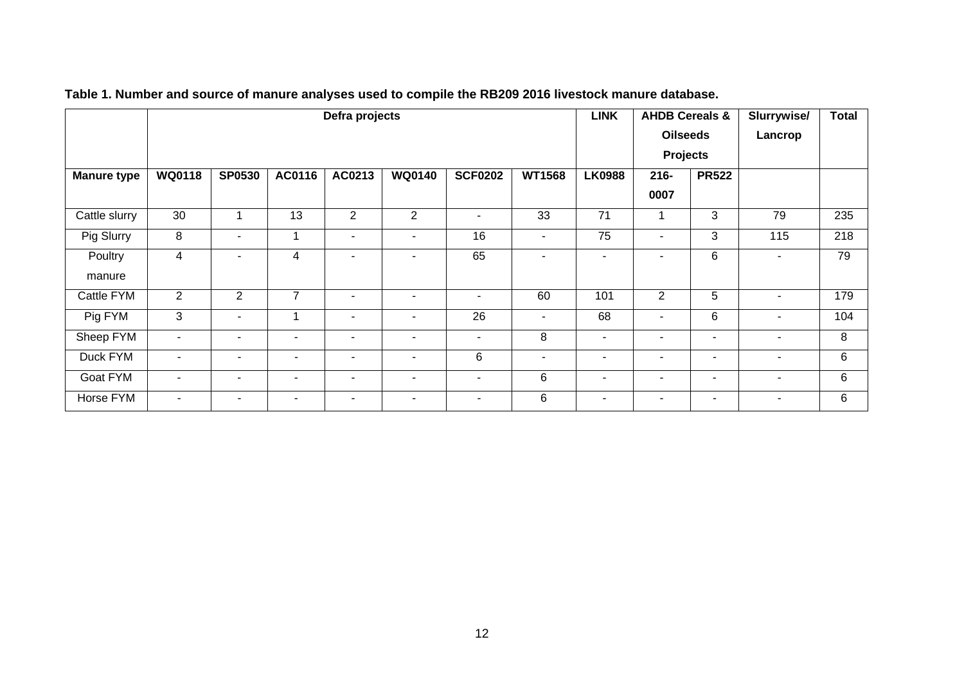|                    |                          | Defra projects        |                          |                          |                          |                          |                          |                          |                          |                          | <b>LINK</b>              | <b>AHDB Cereals &amp;</b> |  | Slurrywise/ | <b>Total</b> |
|--------------------|--------------------------|-----------------------|--------------------------|--------------------------|--------------------------|--------------------------|--------------------------|--------------------------|--------------------------|--------------------------|--------------------------|---------------------------|--|-------------|--------------|
|                    |                          |                       |                          |                          |                          |                          |                          |                          | <b>Oilseeds</b>          |                          | Lancrop                  |                           |  |             |              |
|                    |                          |                       |                          |                          |                          |                          |                          |                          | <b>Projects</b>          |                          |                          |                           |  |             |              |
| <b>Manure type</b> | <b>WQ0118</b>            | <b>SP0530</b>         | AC0116                   | AC0213                   | <b>WQ0140</b>            | <b>SCF0202</b>           | <b>WT1568</b>            | <b>LK0988</b>            | $216 -$                  | <b>PR522</b>             |                          |                           |  |             |              |
|                    |                          |                       |                          |                          |                          |                          |                          |                          | 0007                     |                          |                          |                           |  |             |              |
| Cattle slurry      | 30                       | 1                     | 13                       | $\overline{2}$           | 2                        | $\overline{\phantom{a}}$ | 33                       | 71                       |                          | 3                        | 79                       | 235                       |  |             |              |
| Pig Slurry         | $\, 8$                   | ۰                     | 1                        | $\blacksquare$           | $\sim$                   | 16                       | $\overline{\phantom{a}}$ | 75                       | $\overline{\phantom{a}}$ | 3                        | 115                      | 218                       |  |             |              |
| Poultry            | 4                        | ۰                     | 4                        | $\sim$                   | ٠                        | 65                       | $\overline{\phantom{a}}$ | ٠                        | ٠                        | 6                        | $\blacksquare$           | 79                        |  |             |              |
| manure             |                          |                       |                          |                          |                          |                          |                          |                          |                          |                          |                          |                           |  |             |              |
| Cattle FYM         | 2                        | 2                     | $\overline{7}$           | $\sim$                   | ۰                        | $\overline{\phantom{a}}$ | 60                       | 101                      | $\overline{2}$           | 5                        | $\overline{\phantom{a}}$ | 179                       |  |             |              |
| Pig FYM            | 3                        | ٠                     | 1                        | $\overline{\phantom{a}}$ | ۰                        | 26                       | $\sim$                   | 68                       | $\sim$                   | 6                        | $\blacksquare$           | 104                       |  |             |              |
| Sheep FYM          | $\overline{\phantom{a}}$ | $\sim$                | $\overline{\phantom{a}}$ | $\overline{\phantom{a}}$ | $\sim$                   | ٠                        | 8                        | $\overline{\phantom{a}}$ | $\overline{\phantom{a}}$ | $\overline{\phantom{a}}$ | $\overline{\phantom{a}}$ | 8                         |  |             |              |
| Duck FYM           | $\overline{\phantom{a}}$ | $\tilde{\phantom{a}}$ | $\overline{\phantom{a}}$ | ٠                        | ۰                        | 6                        | $\overline{\phantom{a}}$ | ٠                        | $\overline{\phantom{a}}$ | $\overline{\phantom{a}}$ | $\overline{\phantom{a}}$ | 6                         |  |             |              |
| Goat FYM           | $\overline{\phantom{a}}$ | ۰                     | $\overline{\phantom{a}}$ | $\overline{\phantom{a}}$ | $\sim$                   | $\blacksquare$           | 6                        | -                        | $\overline{\phantom{a}}$ | $\overline{\phantom{a}}$ | $\overline{\phantom{a}}$ | 6                         |  |             |              |
| Horse FYM          | $\overline{\phantom{a}}$ | $\blacksquare$        | $\overline{\phantom{a}}$ | ٠                        | $\overline{\phantom{a}}$ | $\overline{\phantom{a}}$ | 6                        | ۰                        | $\overline{\phantom{a}}$ | $\overline{\phantom{a}}$ | $\overline{\phantom{a}}$ | 6                         |  |             |              |

## **Table 1. Number and source of manure analyses used to compile the RB209 2016 livestock manure database.**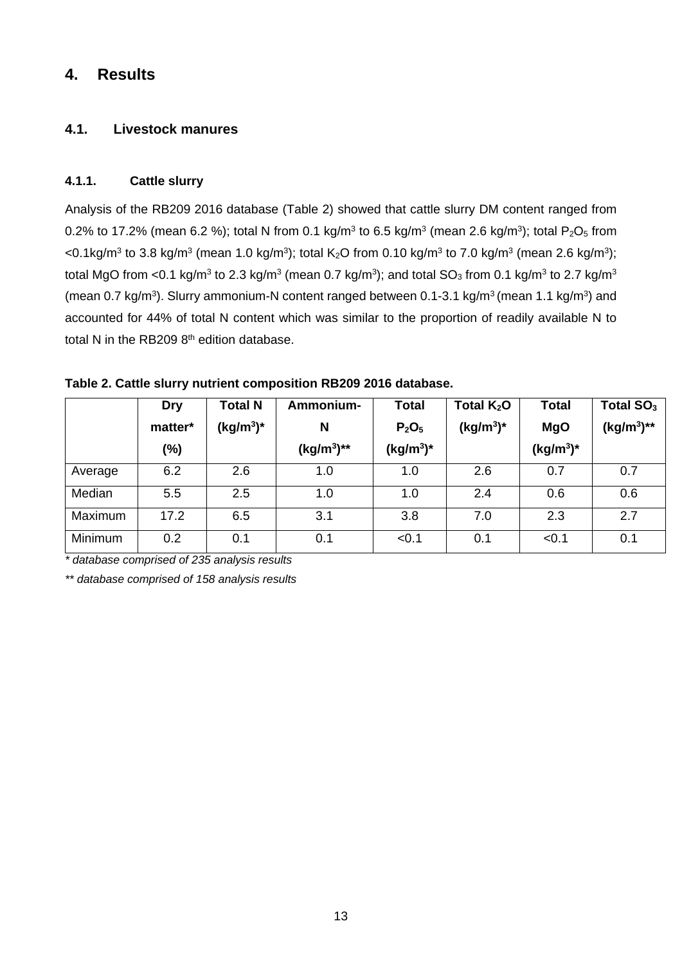## **4. Results**

## **4.1. Livestock manures**

### **4.1.1. Cattle slurry**

Analysis of the RB209 2016 database (Table 2) showed that cattle slurry DM content ranged from 0.2% to 17.2% (mean 6.2 %); total N from 0.1 kg/m<sup>3</sup> to 6.5 kg/m<sup>3</sup> (mean 2.6 kg/m<sup>3</sup>); total P<sub>2</sub>O<sub>5</sub> from <0.1kg/m<sup>3</sup> to 3.8 kg/m<sup>3</sup> (mean 1.0 kg/m<sup>3</sup>); total K<sub>2</sub>O from 0.10 kg/m<sup>3</sup> to 7.0 kg/m<sup>3</sup> (mean 2.6 kg/m<sup>3</sup>); total MgO from <0.1 kg/m<sup>3</sup> to 2.3 kg/m<sup>3</sup> (mean 0.7 kg/m<sup>3</sup>); and total  $SO_3$  from 0.1 kg/m<sup>3</sup> to 2.7 kg/m<sup>3</sup> (mean 0.7 kg/m<sup>3</sup>). Slurry ammonium-N content ranged between 0.1-3.1 kg/m<sup>3</sup> (mean 1.1 kg/m<sup>3</sup>) and accounted for 44% of total N content which was similar to the proportion of readily available N to total N in the RB209  $8<sup>th</sup>$  edition database.

|         | <b>Dry</b> | <b>Total N</b> | Ammonium-     | <b>Total</b>                  | Total $K_2O$ | <b>Total</b> | Total $SO3$     |
|---------|------------|----------------|---------------|-------------------------------|--------------|--------------|-----------------|
|         | matter*    | $(kg/m3)*$     | N             | P <sub>2</sub> O <sub>5</sub> | $(kg/m^3)^*$ | <b>MgO</b>   | $(kg/m^3)^{**}$ |
|         | (%)        |                | $(kg/m^3)$ ** | $(kg/m^3)^*$                  |              | $(kg/m^3)^*$ |                 |
| Average | 6.2        | 2.6            | 1.0           | 1.0                           | 2.6          | 0.7          | 0.7             |
| Median  | 5.5        | 2.5            | 1.0           | 1.0                           | 2.4          | 0.6          | 0.6             |
| Maximum | 17.2       | 6.5            | 3.1           | 3.8                           | 7.0          | 2.3          | 2.7             |
| Minimum | 0.2        | 0.1            | 0.1           | < 0.1                         | 0.1          | < 0.1        | 0.1             |

**Table 2. Cattle slurry nutrient composition RB209 2016 database.** 

*\* database comprised of 235 analysis results* 

*\*\* database comprised of 158 analysis results*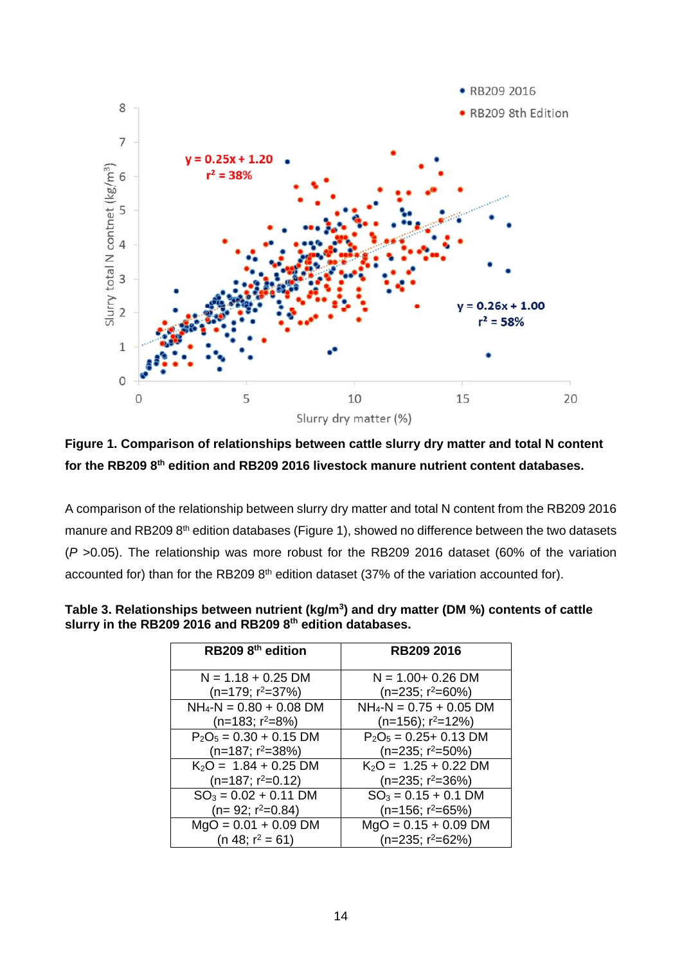

**Figure 1. Comparison of relationships between cattle slurry dry matter and total N content for the RB209 8th edition and RB209 2016 livestock manure nutrient content databases.** 

A comparison of the relationship between slurry dry matter and total N content from the RB209 2016 manure and RB209 8<sup>th</sup> edition databases (Figure 1), showed no difference between the two datasets (*P* >0.05). The relationship was more robust for the RB209 2016 dataset (60% of the variation accounted for) than for the RB209 8<sup>th</sup> edition dataset (37% of the variation accounted for).

| RB209 8 <sup>th</sup> edition | <b>RB209 2016</b>            |
|-------------------------------|------------------------------|
| $N = 1.18 + 0.25$ DM          | $N = 1.00 + 0.26$ DM         |
| $(n=179; r^2=37%)$            | $(n=235; r^2=60\%)$          |
| $NH_4-N = 0.80 + 0.08$ DM     | $NH_4-N = 0.75 + 0.05$ DM    |
| $(n=183; r^2=8%)$             | $(n=156)$ ; $r^2=12\%)$      |
| $P_2O_5 = 0.30 + 0.15$ DM     | $P_2O_5 = 0.25 + 0.13$ DM    |
| $(n=187; r^2=38%)$            | $(n=235; r^2=50\%)$          |
| $K_2O = 1.84 + 0.25$ DM       | $K_2O = 1.25 + 0.22$ DM      |
| $(n=187; r^2=0.12)$           | $(n=235; r^2=36\%)$          |
| $SO_3 = 0.02 + 0.11$ DM       | $SO_3 = 0.15 + 0.1$ DM       |
| $(n=92; r^2=0.84)$            | $(n=156; r^2=65%)$           |
| $MgO = 0.01 + 0.09$ DM        | $MgO = 0.15 + 0.09$ DM       |
| (n 48; $r^2 = 61$ )           | (n=235; r <sup>2</sup> =62%) |

Table 3. Relationships between nutrient (kg/m<sup>3</sup>) and dry matter (DM %) contents of cattle **slurry in the RB209 2016 and RB209 8th edition databases.**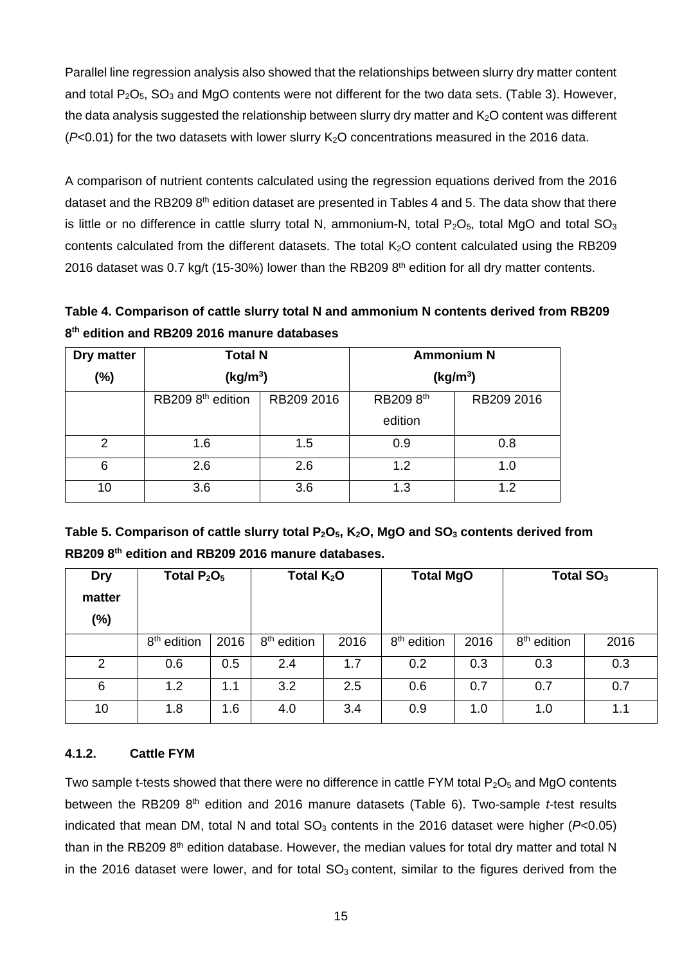Parallel line regression analysis also showed that the relationships between slurry dry matter content and total  $P_2O_5$ ,  $SO_3$  and MgO contents were not different for the two data sets. (Table 3). However, the data analysis suggested the relationship between slurry dry matter and  $K<sub>2</sub>O$  content was different  $(P<0.01)$  for the two datasets with lower slurry  $K<sub>2</sub>O$  concentrations measured in the 2016 data.

A comparison of nutrient contents calculated using the regression equations derived from the 2016 dataset and the RB209 8<sup>th</sup> edition dataset are presented in Tables 4 and 5. The data show that there is little or no difference in cattle slurry total N, ammonium-N, total  $P_2O_5$ , total MgO and total SO<sub>3</sub> contents calculated from the different datasets. The total K2O content calculated using the RB209 2016 dataset was 0.7 kg/t (15-30%) lower than the RB209  $8<sup>th</sup>$  edition for all dry matter contents.

**Table 4. Comparison of cattle slurry total N and ammonium N contents derived from RB209 8th edition and RB209 2016 manure databases** 

| Dry matter | <b>Total N</b>                |            | <b>Ammonium N</b>    |            |  |
|------------|-------------------------------|------------|----------------------|------------|--|
| $(\%)$     | (kg/m <sup>3</sup> )          |            | (kg/m <sup>3</sup> ) |            |  |
|            | RB209 8 <sup>th</sup> edition | RB209 2016 | RB209 8th            | RB209 2016 |  |
|            |                               |            | edition              |            |  |
| 2          | 1.6                           | 1.5        | 0.9                  | 0.8        |  |
| 6          | 2.6                           | 2.6        | 1.2                  | 1.0        |  |
| 10         | 3.6                           | 3.6        | 1.3                  | 1.2        |  |

Table 5. Comparison of cattle slurry total P<sub>2</sub>O<sub>5</sub>, K<sub>2</sub>O, MgO and SO<sub>3</sub> contents derived from **RB209 8th edition and RB209 2016 manure databases.** 

| <b>Dry</b><br>matter<br>$(\% )$ | Total $P_2O_5$          |      | Total $K_2O$            |      | <b>Total MgO</b>        |      | Total SO <sub>3</sub>   |      |
|---------------------------------|-------------------------|------|-------------------------|------|-------------------------|------|-------------------------|------|
|                                 | 8 <sup>th</sup> edition | 2016 | 8 <sup>th</sup> edition | 2016 | 8 <sup>th</sup> edition | 2016 | 8 <sup>th</sup> edition | 2016 |
| 2                               | 0.6                     | 0.5  | 2.4                     | 1.7  | 0.2                     | 0.3  | 0.3                     | 0.3  |
| 6                               | 1.2                     | 1.1  | 3.2                     | 2.5  | 0.6                     | 0.7  | 0.7                     | 0.7  |
| 10                              | 1.8                     | 1.6  | 4.0                     | 3.4  | 0.9                     | 1.0  | 1.0                     | 1.1  |

#### **4.1.2. Cattle FYM**

Two sample t-tests showed that there were no difference in cattle FYM total  $P_2O_5$  and MgO contents between the RB209 8<sup>th</sup> edition and 2016 manure datasets (Table 6). Two-sample *t*-test results indicated that mean DM, total N and total  $SO<sub>3</sub>$  contents in the 2016 dataset were higher ( $P<0.05$ ) than in the RB209  $8<sup>th</sup>$  edition database. However, the median values for total dry matter and total N in the 2016 dataset were lower, and for total  $SO<sub>3</sub>$  content, similar to the figures derived from the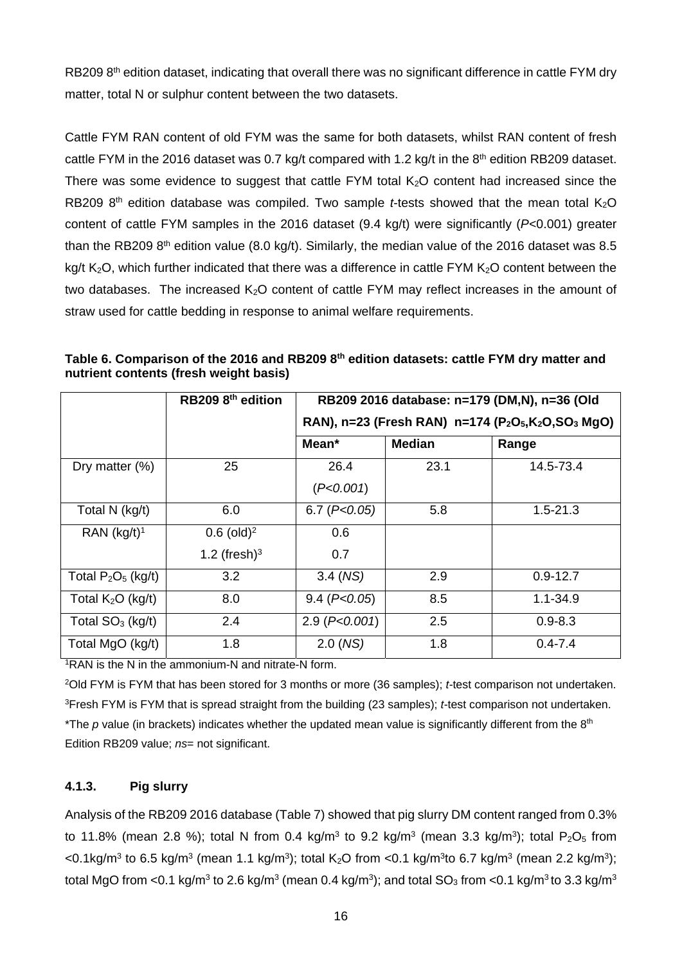RB209 8<sup>th</sup> edition dataset, indicating that overall there was no significant difference in cattle FYM dry matter, total N or sulphur content between the two datasets.

Cattle FYM RAN content of old FYM was the same for both datasets, whilst RAN content of fresh cattle FYM in the 2016 dataset was 0.7 kg/t compared with 1.2 kg/t in the  $8<sup>th</sup>$  edition RB209 dataset. There was some evidence to suggest that cattle FYM total  $K<sub>2</sub>O$  content had increased since the RB209 8<sup>th</sup> edition database was compiled. Two sample *t*-tests showed that the mean total  $K_2O$ content of cattle FYM samples in the 2016 dataset (9.4 kg/t) were significantly (*P*<0.001) greater than the RB209  $8<sup>th</sup>$  edition value (8.0 kg/t). Similarly, the median value of the 2016 dataset was 8.5 kg/t  $K<sub>2</sub>O$ , which further indicated that there was a difference in cattle FYM  $K<sub>2</sub>O$  content between the two databases. The increased K<sub>2</sub>O content of cattle FYM may reflect increases in the amount of straw used for cattle bedding in response to animal welfare requirements.

|                       | RB209 8 <sup>th</sup> edition |                                                                                                    | RB209 2016 database: n=179 (DM,N), n=36 (Old |              |  |  |  |  |
|-----------------------|-------------------------------|----------------------------------------------------------------------------------------------------|----------------------------------------------|--------------|--|--|--|--|
|                       |                               | RAN), n=23 (Fresh RAN) n=174 (P <sub>2</sub> O <sub>5</sub> ,K <sub>2</sub> O,SO <sub>3</sub> MgO) |                                              |              |  |  |  |  |
|                       |                               | Mean*                                                                                              | <b>Median</b>                                | Range        |  |  |  |  |
| Dry matter $(\%)$     | 25                            | 26.4                                                                                               | 23.1                                         | 14.5-73.4    |  |  |  |  |
|                       |                               | (P<0.001)                                                                                          |                                              |              |  |  |  |  |
| Total N (kg/t)        | 6.0                           | 6.7 (P<0.05)                                                                                       | 5.8                                          | $1.5 - 21.3$ |  |  |  |  |
| RAN $(kg/t)^1$        | $0.6$ (old) <sup>2</sup>      | 0.6                                                                                                |                                              |              |  |  |  |  |
|                       | 1.2 (fresh) $3$               | 0.7                                                                                                |                                              |              |  |  |  |  |
| Total $P_2O_5$ (kg/t) | 3.2                           | $3.4 \,(NS)$                                                                                       | 2.9                                          | $0.9 - 12.7$ |  |  |  |  |
| Total $K2O$ (kg/t)    | 8.0                           | $9.4$ ( $P<0.05$ )                                                                                 | 8.5                                          | $1.1 - 34.9$ |  |  |  |  |
| Total $SO3$ (kg/t)    | 2.4                           | $2.9$ ( $P<0.001$ )                                                                                | 2.5                                          | $0.9 - 8.3$  |  |  |  |  |
| Total MgO (kg/t)      | 1.8                           | 2.0 (NS)                                                                                           | 1.8                                          | $0.4 - 7.4$  |  |  |  |  |

**Table 6. Comparison of the 2016 and RB209 8th edition datasets: cattle FYM dry matter and nutrient contents (fresh weight basis)** 

1RAN is the N in the ammonium-N and nitrate-N form.

2Old FYM is FYM that has been stored for 3 months or more (36 samples); *t-*test comparison not undertaken. 3Fresh FYM is FYM that is spread straight from the building (23 samples); *t-*test comparison not undertaken. \*The *p* value (in brackets) indicates whether the updated mean value is significantly different from the 8<sup>th</sup> Edition RB209 value; *ns*= not significant.

## **4.1.3. Pig slurry**

Analysis of the RB209 2016 database (Table 7) showed that pig slurry DM content ranged from 0.3% to 11.8% (mean 2.8 %); total N from 0.4 kg/m<sup>3</sup> to 9.2 kg/m<sup>3</sup> (mean 3.3 kg/m<sup>3</sup>); total P<sub>2</sub>O<sub>5</sub> from  $\leq$ 0.1kg/m<sup>3</sup> to 6.5 kg/m<sup>3</sup> (mean 1.1 kg/m<sup>3</sup>); total K<sub>2</sub>O from  $\leq$ 0.1 kg/m<sup>3</sup>to 6.7 kg/m<sup>3</sup> (mean 2.2 kg/m<sup>3</sup>); total MgO from <0.1 kg/m<sup>3</sup> to 2.6 kg/m<sup>3</sup> (mean 0.4 kg/m<sup>3</sup>); and total  $SO_3$  from <0.1 kg/m<sup>3</sup> to 3.3 kg/m<sup>3</sup>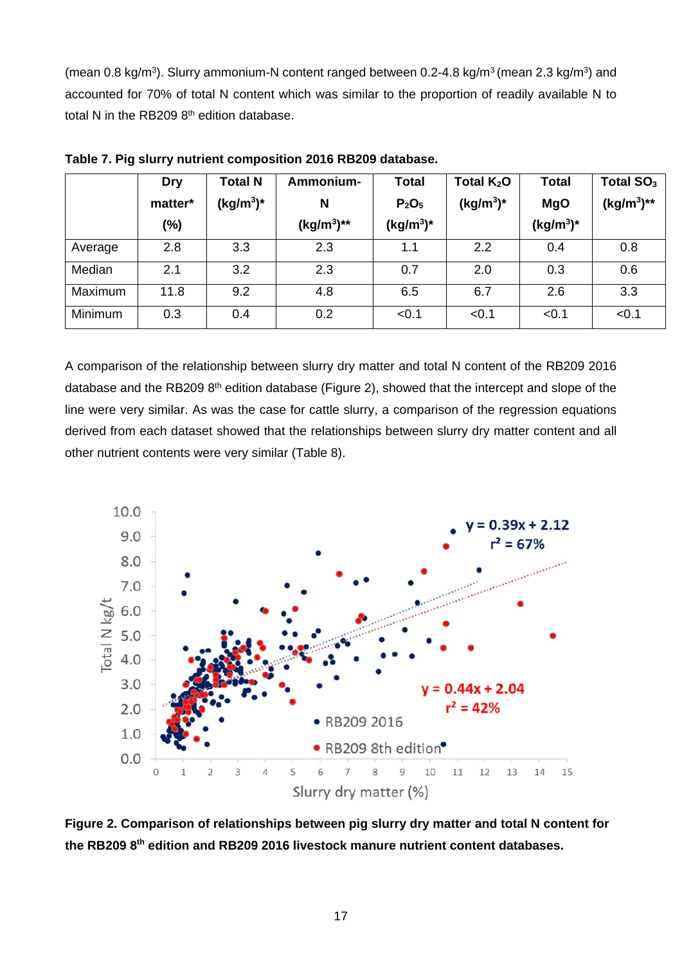(mean 0.8 kg/m<sup>3</sup>). Slurry ammonium-N content ranged between 0.2-4.8 kg/m<sup>3</sup> (mean 2.3 kg/m<sup>3</sup>) and accounted for 70% of total N content which was similar to the proportion of readily available N to total N in the RB209  $8<sup>th</sup>$  edition database.

|         | <b>Dry</b><br>matter*<br>$(\%)$ | <b>Total N</b><br>$(kg/m^3)^*$ | Ammonium-<br>N<br>$(kg/m^3)$ ** | <b>Total</b><br>P <sub>2</sub> O <sub>5</sub><br>$(kg/m^3)^*$ | Total $K_2O$<br>$(kg/m^3)^*$ | <b>Total</b><br><b>MgO</b><br>$(kg/m^3)^*$ | Total SO <sub>3</sub><br>$(kg/m^3)$ ** |
|---------|---------------------------------|--------------------------------|---------------------------------|---------------------------------------------------------------|------------------------------|--------------------------------------------|----------------------------------------|
| Average | 2.8                             | 3.3                            | 2.3                             | 1.1                                                           | 2.2                          | 0.4                                        | 0.8                                    |
| Median  | 2.1                             | 3.2                            | 2.3                             | 0.7                                                           | 2.0                          | 0.3                                        | 0.6                                    |
| Maximum | 11.8                            | 9.2                            | 4.8                             | 6.5                                                           | 6.7                          | 2.6                                        | 3.3                                    |
| Minimum | 0.3                             | 0.4                            | 0.2                             | < 0.1                                                         | < 0.1                        | < 0.1                                      | < 0.1                                  |

**Table 7. Pig slurry nutrient composition 2016 RB209 database.** 

A comparison of the relationship between slurry dry matter and total N content of the RB209 2016 database and the RB209 8<sup>th</sup> edition database (Figure 2), showed that the intercept and slope of the line were very similar. As was the case for cattle slurry, a comparison of the regression equations derived from each dataset showed that the relationships between slurry dry matter content and all other nutrient contents were very similar (Table 8).



**Figure 2. Comparison of relationships between pig slurry dry matter and total N content for the RB209 8th edition and RB209 2016 livestock manure nutrient content databases.**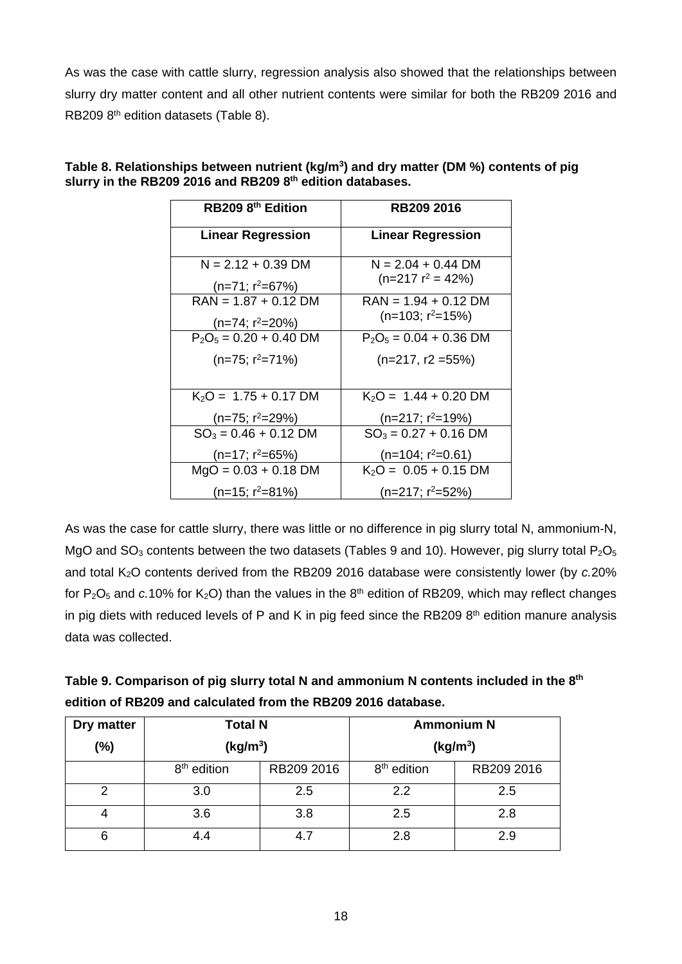As was the case with cattle slurry, regression analysis also showed that the relationships between slurry dry matter content and all other nutrient contents were similar for both the RB209 2016 and RB209 8<sup>th</sup> edition datasets (Table 8).

| RB209 8 <sup>th</sup> Edition | <b>RB209 2016</b>             |
|-------------------------------|-------------------------------|
| <b>Linear Regression</b>      | <b>Linear Regression</b>      |
| $N = 2.12 + 0.39$ DM          | $N = 2.04 + 0.44$ DM          |
| $(n=71; r^2=67%)$             | $(n=217 r^2 = 42\%)$          |
| $RAN = 1.87 + 0.12 DM$        | $RAN = 1.94 + 0.12 DM$        |
| (n=74; r <sup>2</sup> =20%)   | $(n=103; r^2=15%)$            |
| $P_2O_5 = 0.20 + 0.40$ DM     | $P_2O_5 = 0.04 + 0.36$ DM     |
| $(n=75; r^2=71\%)$            | $(n=217, r2=55%)$             |
| $K_2O = 1.75 + 0.17$ DM       | $K_2O = 1.44 + 0.20$ DM       |
| (n=75; r <sup>2</sup> =29%)   | $(n=217; r^2=19%)$            |
| $SO_3 = 0.46 + 0.12$ DM       | $SO_3 = 0.27 + 0.16$ DM       |
| $(n=17; r^2=65%)$             | (n=104; r <sup>2</sup> =0.61) |
| $MgO = 0.03 + 0.18$ DM        | $K_2O = 0.05 + 0.15$ DM       |
| (n=15; r <sup>2</sup> =81%)   | $(n=217; r^2=52\%)$           |

Table 8. Relationships between nutrient (kg/m<sup>3</sup>) and dry matter (DM %) contents of pig **slurry in the RB209 2016 and RB209 8th edition databases.**

As was the case for cattle slurry, there was little or no difference in pig slurry total N, ammonium-N, MgO and  $SO_3$  contents between the two datasets (Tables 9 and 10). However, pig slurry total  $P_2O_5$ and total K<sub>2</sub>O contents derived from the RB209 2016 database were consistently lower (by *c.*20% for  $P_2O_5$  and  $c.10\%$  for  $K_2O$ ) than the values in the  $8<sup>th</sup>$  edition of RB209, which may reflect changes in pig diets with reduced levels of P and K in pig feed since the RB209  $8<sup>th</sup>$  edition manure analysis data was collected.

| Table 9. Comparison of pig slurry total N and ammonium N contents included in the 8th |
|---------------------------------------------------------------------------------------|
| edition of RB209 and calculated from the RB209 2016 database.                         |

| Dry matter | <b>Total N</b>          |     | <b>Ammonium N</b>       |            |  |
|------------|-------------------------|-----|-------------------------|------------|--|
| (%)        | (kg/m <sup>3</sup> )    |     | (kg/m <sup>3</sup> )    |            |  |
|            | 8 <sup>th</sup> edition |     | 8 <sup>th</sup> edition | RB209 2016 |  |
| 2          | 3.0                     | 2.5 | 2.2                     | 2.5        |  |
| 4          | 3.6                     | 3.8 | 2.5                     | 2.8        |  |
| 6          | 4.4                     | 4.7 | 2.8                     | 2.9        |  |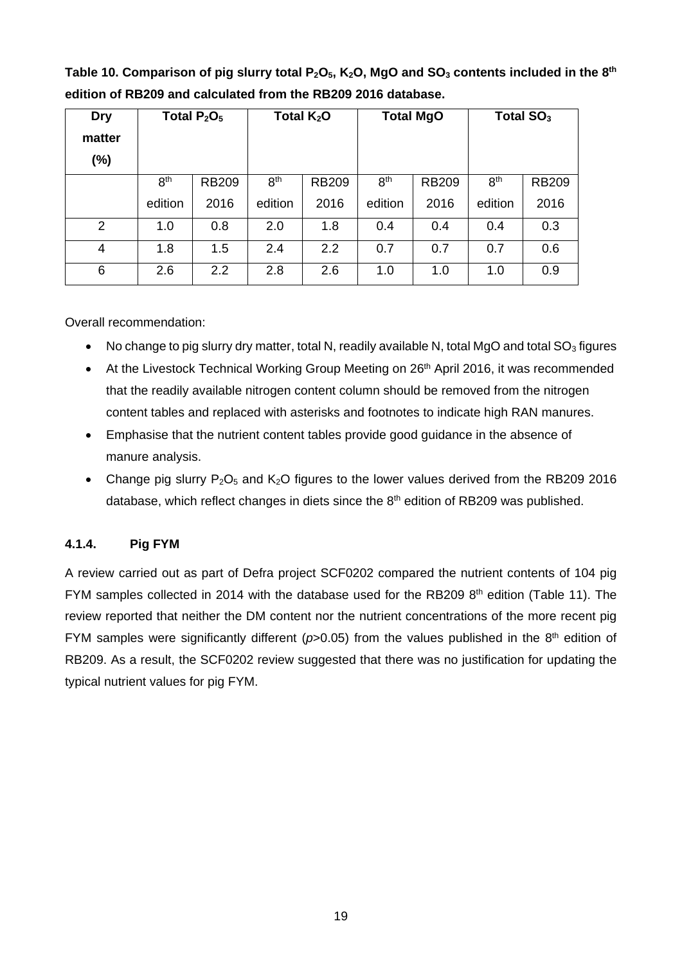| Dry<br>matter<br>$(\%)$ | Total $P_2O_5$  |              | Total $K_2O$    |              | <b>Total MgO</b> |              | Total $SO3$     |              |
|-------------------------|-----------------|--------------|-----------------|--------------|------------------|--------------|-----------------|--------------|
|                         | 8 <sup>th</sup> | <b>RB209</b> | 8 <sup>th</sup> | <b>RB209</b> | 8 <sup>th</sup>  | <b>RB209</b> | 8 <sup>th</sup> | <b>RB209</b> |
|                         | edition         | 2016         | edition         | 2016         | edition          | 2016         | edition         | 2016         |
| 2                       | 1.0             | 0.8          | 2.0             | 1.8          | 0.4              | 0.4          | 0.4             | 0.3          |
| 4                       | 1.8             | 1.5          | 2.4             | 2.2          | 0.7              | 0.7          | 0.7             | 0.6          |
| 6                       | 2.6             | 2.2          | 2.8             | 2.6          | 1.0              | 1.0          | 1.0             | 0.9          |

Table 10. Comparison of pig slurry total P<sub>2</sub>O<sub>5</sub>, K<sub>2</sub>O, MgO and SO<sub>3</sub> contents included in the 8<sup>th</sup> **edition of RB209 and calculated from the RB209 2016 database.** 

Overall recommendation:

- No change to pig slurry dry matter, total N, readily available N, total MgO and total  $SO<sub>3</sub>$  figures
- At the Livestock Technical Working Group Meeting on 26<sup>th</sup> April 2016, it was recommended that the readily available nitrogen content column should be removed from the nitrogen content tables and replaced with asterisks and footnotes to indicate high RAN manures.
- Emphasise that the nutrient content tables provide good guidance in the absence of manure analysis.
- Change pig slurry  $P_2O_5$  and  $K_2O$  figures to the lower values derived from the RB209 2016 database, which reflect changes in diets since the  $8<sup>th</sup>$  edition of RB209 was published.

#### **4.1.4. Pig FYM**

A review carried out as part of Defra project SCF0202 compared the nutrient contents of 104 pig FYM samples collected in 2014 with the database used for the RB209 8<sup>th</sup> edition (Table 11). The review reported that neither the DM content nor the nutrient concentrations of the more recent pig FYM samples were significantly different ( $p>0.05$ ) from the values published in the 8<sup>th</sup> edition of RB209. As a result, the SCF0202 review suggested that there was no justification for updating the typical nutrient values for pig FYM.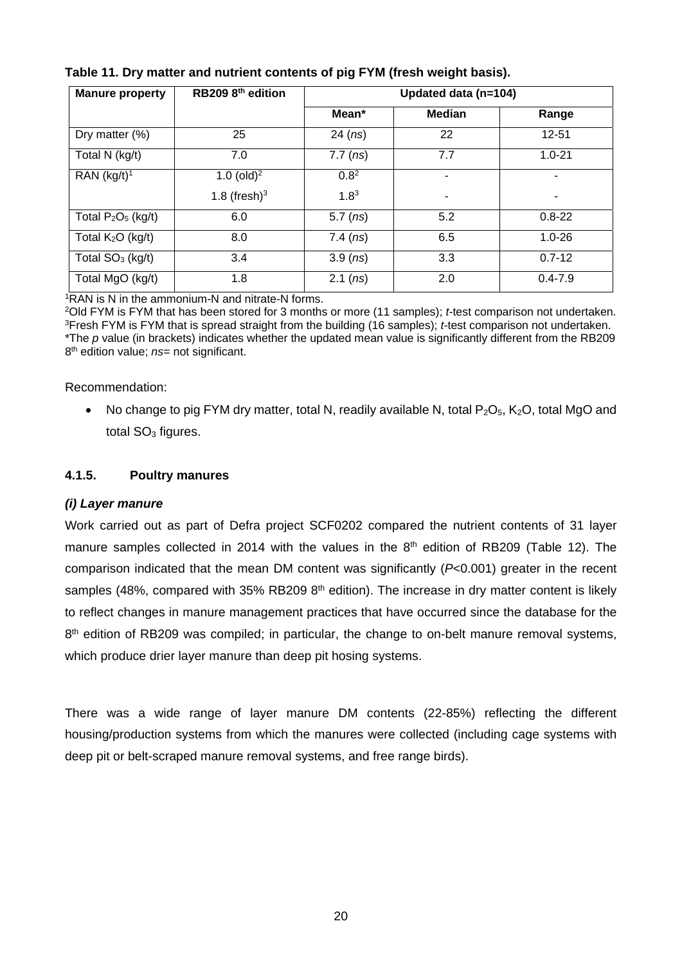| <b>Manure property</b>       | RB209 8th edition |                  | Updated data (n=104) |             |  |
|------------------------------|-------------------|------------------|----------------------|-------------|--|
|                              |                   | Mean*            | <b>Median</b>        | Range       |  |
| Dry matter (%)               | 25                | $24$ (ns)        | 22                   | $12 - 51$   |  |
| Total N (kg/t)               | 7.0               | $7.7$ ( $ns$ )   | 7.7                  | $1.0 - 21$  |  |
| RAN $(kg/t)^1$               | 1.0 (old) $^{2}$  | 0.8 <sup>2</sup> | ٠                    | ۰           |  |
|                              | 1.8 (fresh) $3$   | $1.8^{3}$        |                      |             |  |
| Total $P_2O_5$ (kg/t)        | 6.0               | $5.7$ ( $ns$ )   | 5.2                  | $0.8 - 22$  |  |
| Total $K2O$ (kg/t)           | 8.0               | $7.4$ ( $ns$ )   | 6.5                  | $1.0 - 26$  |  |
| Total SO <sub>3</sub> (kg/t) | 3.4               | 3.9 (ns)         | 3.3                  | $0.7 - 12$  |  |
| Total MgO (kg/t)             | 1.8               | 2.1 (ns)         | 2.0                  | $0.4 - 7.9$ |  |

#### **Table 11. Dry matter and nutrient contents of pig FYM (fresh weight basis).**

<sup>1</sup>RAN is N in the ammonium-N and nitrate-N forms.

2Old FYM is FYM that has been stored for 3 months or more (11 samples); *t-*test comparison not undertaken. 3Fresh FYM is FYM that is spread straight from the building (16 samples); *t-*test comparison not undertaken. \*The *p* value (in brackets) indicates whether the updated mean value is significantly different from the RB209 8th edition value; *ns*= not significant.

Recommendation:

• No change to pig FYM dry matter, total N, readily available N, total  $P_2O_5$ , K<sub>2</sub>O, total MgO and total  $SO<sub>3</sub>$  figures.

#### **4.1.5. Poultry manures**

#### *(i) Layer manure*

Work carried out as part of Defra project SCF0202 compared the nutrient contents of 31 layer manure samples collected in 2014 with the values in the  $8<sup>th</sup>$  edition of RB209 (Table 12). The comparison indicated that the mean DM content was significantly (*P*<0.001) greater in the recent samples (48%, compared with 35% RB209  $8<sup>th</sup>$  edition). The increase in dry matter content is likely to reflect changes in manure management practices that have occurred since the database for the 8<sup>th</sup> edition of RB209 was compiled; in particular, the change to on-belt manure removal systems, which produce drier layer manure than deep pit hosing systems.

There was a wide range of layer manure DM contents (22-85%) reflecting the different housing/production systems from which the manures were collected (including cage systems with deep pit or belt-scraped manure removal systems, and free range birds).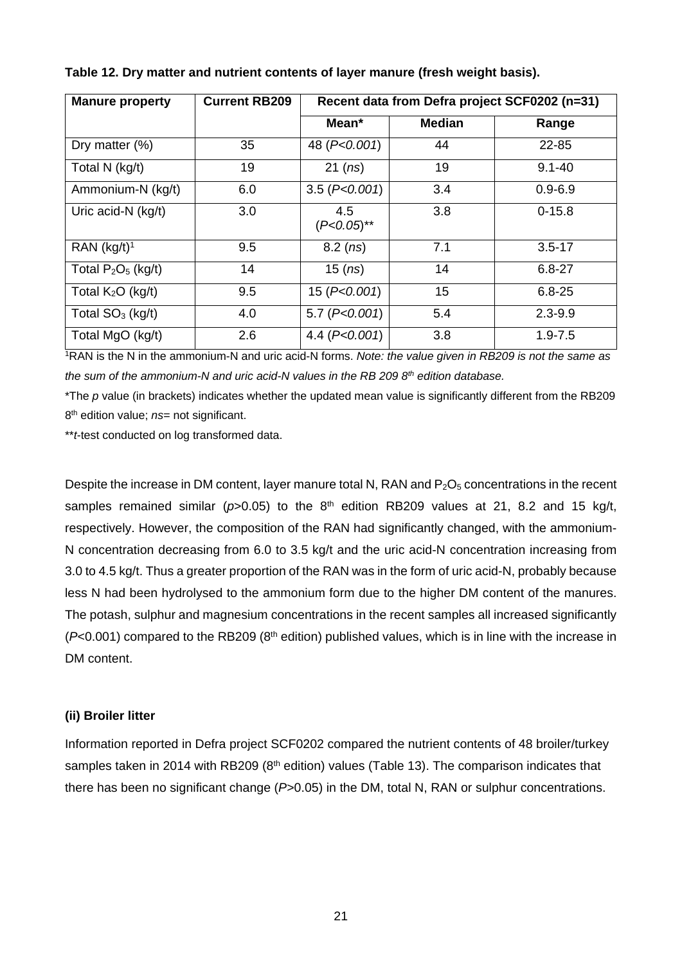| <b>Manure property</b>  | <b>Current RB209</b> | Recent data from Defra project SCF0202 (n=31) |               |             |  |  |
|-------------------------|----------------------|-----------------------------------------------|---------------|-------------|--|--|
|                         |                      | Mean*                                         | <b>Median</b> | Range       |  |  |
| Dry matter (%)          | 35                   | 48 (P<0.001)                                  | 44            | 22-85       |  |  |
| Total N (kg/t)          | 19                   | 21 (ns)                                       | 19            | $9.1 - 40$  |  |  |
| Ammonium-N (kg/t)       | 6.0                  | 3.5 (P<0.001)                                 | 3.4           | $0.9 - 6.9$ |  |  |
| Uric acid-N (kg/t)      | 3.0                  | 4.5<br>$(P<0.05)$ **                          | 3.8           | $0 - 15.8$  |  |  |
| RAN (kg/t) <sup>1</sup> | 9.5                  | $8.2$ (ns)                                    | 7.1           | $3.5 - 17$  |  |  |
| Total $P_2O_5$ (kg/t)   | 14                   | $15$ ( $ns$ )                                 | 14            | $6.8 - 27$  |  |  |
| Total $K_2O$ (kg/t)     | 9.5                  | 15 (P<0.001)                                  | 15            | $6.8 - 25$  |  |  |
| Total $SO3$ (kg/t)      | 4.0                  | 5.7 (P<0.001)                                 | 5.4           | $2.3 - 9.9$ |  |  |
| Total MgO (kg/t)        | 2.6                  | 4.4 $(P< 0.001)$                              | 3.8           | $1.9 - 7.5$ |  |  |

**Table 12. Dry matter and nutrient contents of layer manure (fresh weight basis).** 

1RAN is the N in the ammonium-N and uric acid-N forms. *Note: the value given in RB209 is not the same as the sum of the ammonium-N and uric acid-N values in the RB 209 8th edition database.*

\*The *p* value (in brackets) indicates whether the updated mean value is significantly different from the RB209 8<sup>th</sup> edition value; *ns*= not significant.

\*\**t*-test conducted on log transformed data.

Despite the increase in DM content, layer manure total N, RAN and  $P_2O_5$  concentrations in the recent samples remained similar ( $p$ >0.05) to the 8<sup>th</sup> edition RB209 values at 21, 8.2 and 15 kg/t, respectively. However, the composition of the RAN had significantly changed, with the ammonium-N concentration decreasing from 6.0 to 3.5 kg/t and the uric acid-N concentration increasing from 3.0 to 4.5 kg/t. Thus a greater proportion of the RAN was in the form of uric acid-N, probably because less N had been hydrolysed to the ammonium form due to the higher DM content of the manures. The potash, sulphur and magnesium concentrations in the recent samples all increased significantly  $(P<0.001)$  compared to the RB209 ( $8<sup>th</sup>$  edition) published values, which is in line with the increase in DM content.

#### **(ii) Broiler litter**

Information reported in Defra project SCF0202 compared the nutrient contents of 48 broiler/turkey samples taken in 2014 with RB209 (8<sup>th</sup> edition) values (Table 13). The comparison indicates that there has been no significant change (*P*>0.05) in the DM, total N, RAN or sulphur concentrations.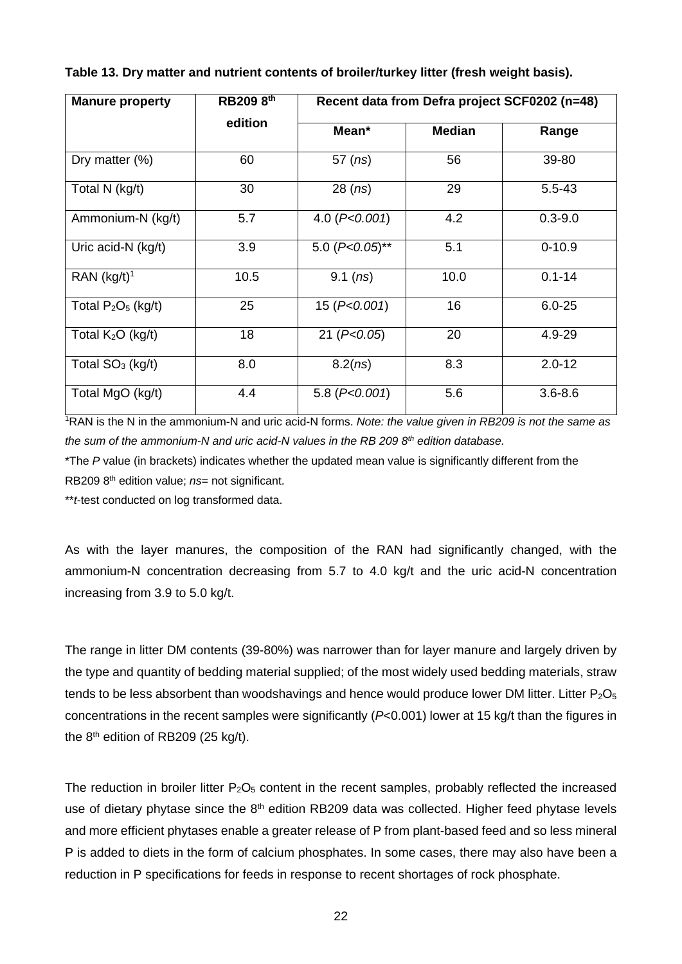| <b>Manure property</b>  | RB209 8th | Recent data from Defra project SCF0202 (n=48) |               |             |  |  |
|-------------------------|-----------|-----------------------------------------------|---------------|-------------|--|--|
|                         | edition   | Mean*                                         | <b>Median</b> | Range       |  |  |
| Dry matter $(\%)$       | 60        | $57$ ( $ns$ )                                 | 56            | 39-80       |  |  |
| Total N (kg/t)          | 30        | $28$ ( $ns$ )                                 | 29            | $5.5 - 43$  |  |  |
| Ammonium-N (kg/t)       | 5.7       | 4.0 $(P<0.001)$                               | 4.2           | $0.3 - 9.0$ |  |  |
| Uric acid-N (kg/t)      | 3.9       | 5.0 $(P<0.05)$ **                             | 5.1           | $0 - 10.9$  |  |  |
| RAN (kg/t) <sup>1</sup> | 10.5      | 9.1 $(ns)$                                    | 10.0          | $0.1 - 14$  |  |  |
| Total $P_2O_5$ (kg/t)   | 25        | 15 (P< 0.001)                                 | 16            | $6.0 - 25$  |  |  |
| Total $K2O$ (kg/t)      | 18        | 21 (P < 0.05)                                 | 20            | 4.9-29      |  |  |
| Total $SO3$ (kg/t)      | 8.0       | 8.2(ns)                                       | 8.3           | $2.0 - 12$  |  |  |
| Total MgO (kg/t)        | 4.4       | 5.8 $(P<0.001)$                               | 5.6           | $3.6 - 8.6$ |  |  |

**Table 13. Dry matter and nutrient contents of broiler/turkey litter (fresh weight basis).** 

1RAN is the N in the ammonium-N and uric acid-N forms. *Note: the value given in RB209 is not the same as*  the sum of the ammonium-N and uric acid-N values in the RB 209 8<sup>th</sup> edition database.

\*The *P* value (in brackets) indicates whether the updated mean value is significantly different from the RB209 8th edition value; *ns*= not significant.

\*\**t*-test conducted on log transformed data.

As with the layer manures, the composition of the RAN had significantly changed, with the ammonium-N concentration decreasing from 5.7 to 4.0 kg/t and the uric acid-N concentration increasing from 3.9 to 5.0 kg/t.

The range in litter DM contents (39-80%) was narrower than for layer manure and largely driven by the type and quantity of bedding material supplied; of the most widely used bedding materials, straw tends to be less absorbent than woodshavings and hence would produce lower DM litter. Litter  $P_2O_5$ concentrations in the recent samples were significantly (*P*<0.001) lower at 15 kg/t than the figures in the  $8<sup>th</sup>$  edition of RB209 (25 kg/t).

The reduction in broiler litter  $P_2O_5$  content in the recent samples, probably reflected the increased use of dietary phytase since the 8<sup>th</sup> edition RB209 data was collected. Higher feed phytase levels and more efficient phytases enable a greater release of P from plant-based feed and so less mineral P is added to diets in the form of calcium phosphates. In some cases, there may also have been a reduction in P specifications for feeds in response to recent shortages of rock phosphate.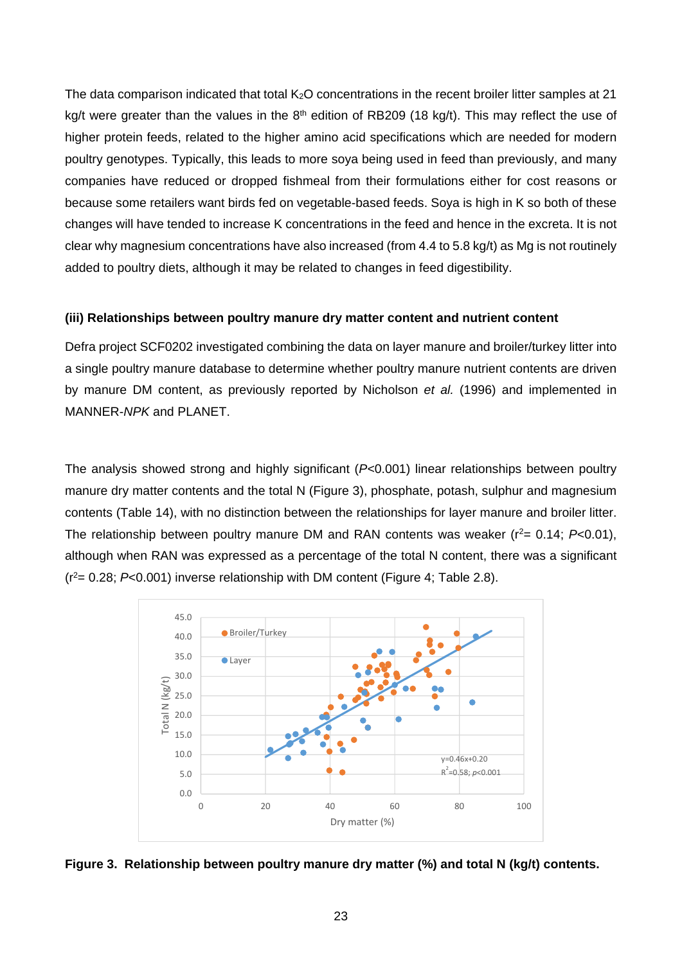The data comparison indicated that total  $K_2O$  concentrations in the recent broiler litter samples at 21 kg/t were greater than the values in the 8<sup>th</sup> edition of RB209 (18 kg/t). This may reflect the use of higher protein feeds, related to the higher amino acid specifications which are needed for modern poultry genotypes. Typically, this leads to more soya being used in feed than previously, and many companies have reduced or dropped fishmeal from their formulations either for cost reasons or because some retailers want birds fed on vegetable-based feeds. Soya is high in K so both of these changes will have tended to increase K concentrations in the feed and hence in the excreta. It is not clear why magnesium concentrations have also increased (from 4.4 to 5.8 kg/t) as Mg is not routinely added to poultry diets, although it may be related to changes in feed digestibility.

#### **(iii) Relationships between poultry manure dry matter content and nutrient content**

Defra project SCF0202 investigated combining the data on layer manure and broiler/turkey litter into a single poultry manure database to determine whether poultry manure nutrient contents are driven by manure DM content, as previously reported by Nicholson *et al.* (1996) and implemented in MANNER-*NPK* and PLANET.

The analysis showed strong and highly significant (*P<*0.001) linear relationships between poultry manure dry matter contents and the total N (Figure 3), phosphate, potash, sulphur and magnesium contents (Table 14), with no distinction between the relationships for layer manure and broiler litter. The relationship between poultry manure DM and RAN contents was weaker  $(r^2 = 0.14; P<0.01)$ , although when RAN was expressed as a percentage of the total N content, there was a significant (r2= 0.28; *P*<0.001) inverse relationship with DM content (Figure 4; Table 2.8).



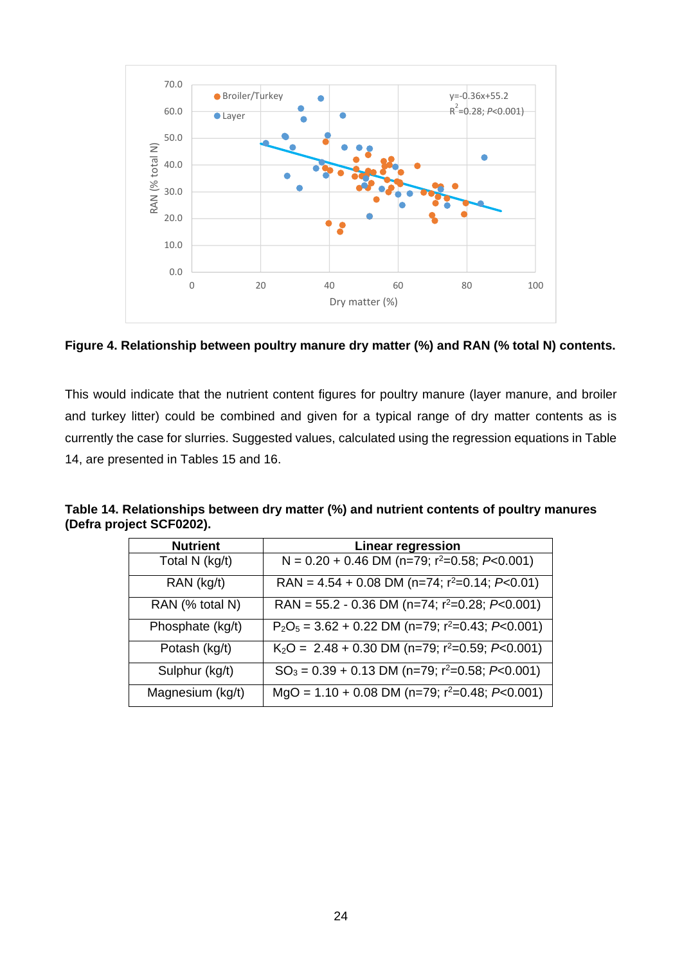

**Figure 4. Relationship between poultry manure dry matter (%) and RAN (% total N) contents.** 

This would indicate that the nutrient content figures for poultry manure (layer manure, and broiler and turkey litter) could be combined and given for a typical range of dry matter contents as is currently the case for slurries. Suggested values, calculated using the regression equations in Table 14, are presented in Tables 15 and 16.

**Table 14. Relationships between dry matter (%) and nutrient contents of poultry manures (Defra project SCF0202).** 

| <b>Nutrient</b>  | <b>Linear regression</b>                                        |
|------------------|-----------------------------------------------------------------|
| Total N (kg/t)   | N = $0.20 + 0.46$ DM (n=79; r <sup>2</sup> =0.58; P<0.001)      |
| RAN (kg/t)       | RAN = $4.54 + 0.08$ DM (n=74; r <sup>2</sup> =0.14; P<0.01)     |
| RAN (% total N)  | RAN = $55.2 - 0.36$ DM (n=74; $r^2 = 0.28$ ; P<0.001)           |
| Phosphate (kg/t) | $P_2O_5$ = 3.62 + 0.22 DM (n=79; r <sup>2</sup> =0.43; P<0.001) |
| Potash (kg/t)    | $K_2O = 2.48 + 0.30$ DM (n=79; r <sup>2</sup> =0.59; P<0.001)   |
| Sulphur (kg/t)   | $SO_3 = 0.39 + 0.13$ DM (n=79; r <sup>2</sup> =0.58; P<0.001)   |
| Magnesium (kg/t) | MgO = $1.10 + 0.08$ DM (n=79; r <sup>2</sup> =0.48; P<0.001)    |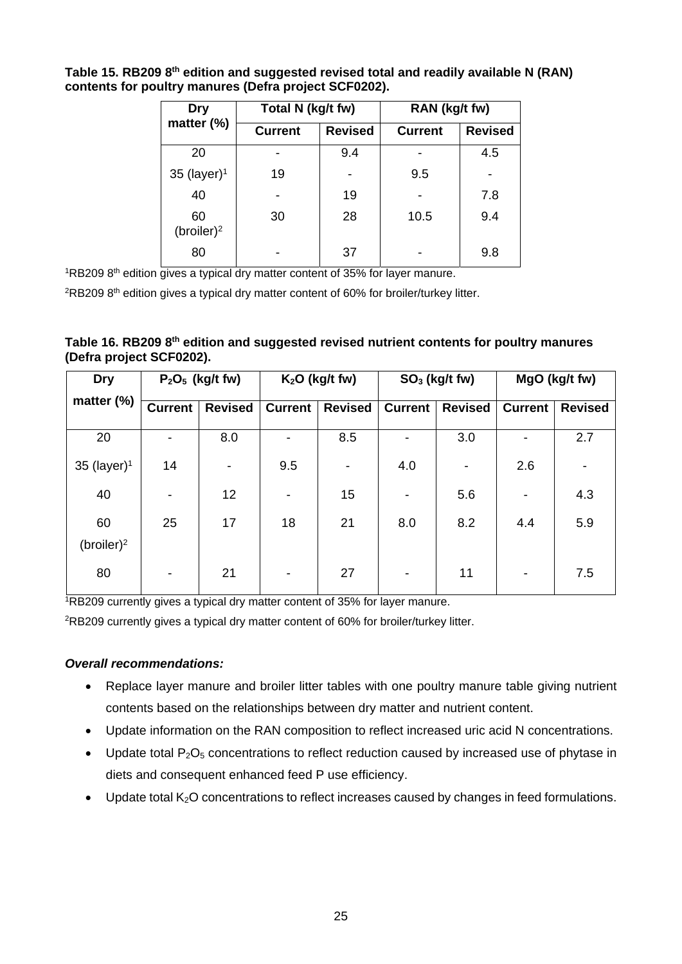**Dry matter (%) Total N (kg/t fw) RAN (kg/t fw) Current Revised Current Revised**  20 - 9.4 - 4.5  $35$  (layer)<sup>1</sup> | 19 | - | 9.5 | -40 - 19 - 7.8 60 (broiler)2 30 28 10.5 9.4 80 | - | 37 | - | 9.8

**Table 15. RB209 8th edition and suggested revised total and readily available N (RAN) contents for poultry manures (Defra project SCF0202).** 

 $1RB2098$ <sup>th</sup> edition gives a typical dry matter content of 35% for layer manure.

 $2RB2098$ <sup>th</sup> edition gives a typical dry matter content of 60% for broiler/turkey litter.

|  |                          |  | Table 16. RB209 8 <sup>th</sup> edition and suggested revised nutrient contents for poultry manures |  |  |
|--|--------------------------|--|-----------------------------------------------------------------------------------------------------|--|--|
|  | (Defra project SCF0202). |  |                                                                                                     |  |  |

| <b>Dry</b>          | $P2O5$ (kg/t fw) |                          | $K2O$ (kg/t fw)          |                          | $SO3$ (kg/t fw)          |                          | MgO (kg/t fw)            |                |
|---------------------|------------------|--------------------------|--------------------------|--------------------------|--------------------------|--------------------------|--------------------------|----------------|
| matter (%)          | <b>Current</b>   | <b>Revised</b>           | <b>Current</b>           | <b>Revised</b>           | <b>Current</b>           | <b>Revised</b>           | <b>Current</b>           | <b>Revised</b> |
| 20                  | -                | 8.0                      | -                        | 8.5                      | -                        | 3.0                      | $\overline{\phantom{a}}$ | 2.7            |
| 35 (layer) $1$      | 14               | $\overline{\phantom{a}}$ | 9.5                      | $\overline{\phantom{a}}$ | 4.0                      | $\overline{\phantom{a}}$ | 2.6                      |                |
| 40                  | -                | 12                       | $\overline{\phantom{a}}$ | 15                       | $\overline{\phantom{a}}$ | 5.6                      | $\overline{\phantom{a}}$ | 4.3            |
| 60<br>$(broiler)^2$ | 25               | 17                       | 18                       | 21                       | 8.0                      | 8.2                      | 4.4                      | 5.9            |
| 80                  | -                | 21                       | $\overline{\phantom{a}}$ | 27                       | $\overline{\phantom{a}}$ | 11                       | $\overline{\phantom{a}}$ | 7.5            |

1RB209 currently gives a typical dry matter content of 35% for layer manure.

2RB209 currently gives a typical dry matter content of 60% for broiler/turkey litter.

#### *Overall recommendations:*

- Replace layer manure and broiler litter tables with one poultry manure table giving nutrient contents based on the relationships between dry matter and nutrient content.
- Update information on the RAN composition to reflect increased uric acid N concentrations.
- Update total  $P_2O_5$  concentrations to reflect reduction caused by increased use of phytase in diets and consequent enhanced feed P use efficiency.
- $\bullet$  Update total K<sub>2</sub>O concentrations to reflect increases caused by changes in feed formulations.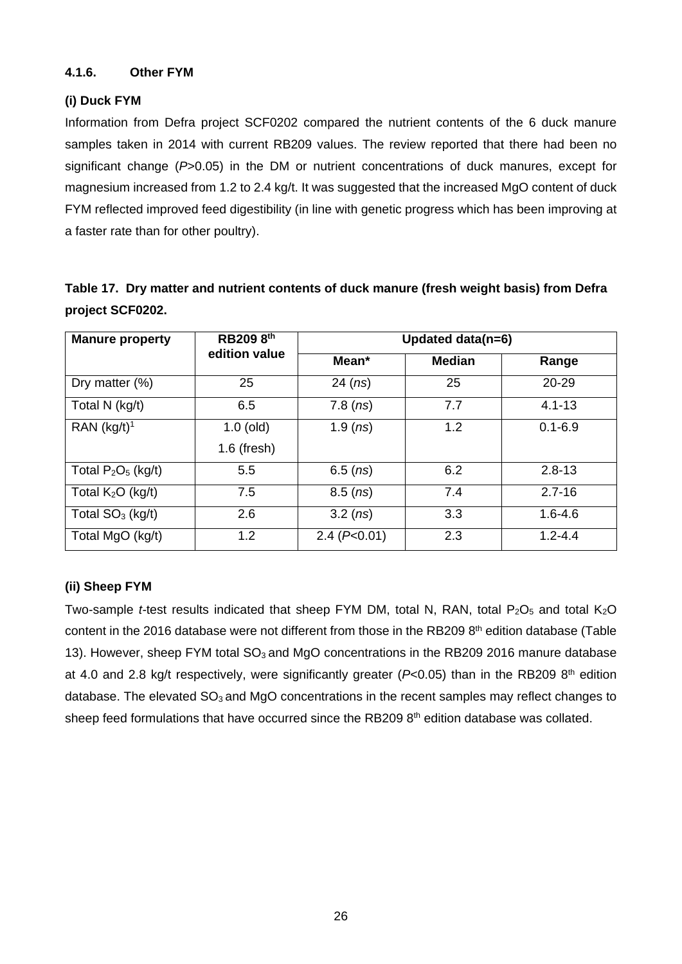#### **4.1.6. Other FYM**

#### **(i) Duck FYM**

Information from Defra project SCF0202 compared the nutrient contents of the 6 duck manure samples taken in 2014 with current RB209 values. The review reported that there had been no significant change (*P*>0.05) in the DM or nutrient concentrations of duck manures, except for magnesium increased from 1.2 to 2.4 kg/t. It was suggested that the increased MgO content of duck FYM reflected improved feed digestibility (in line with genetic progress which has been improving at a faster rate than for other poultry).

|                  |  | Table 17. Dry matter and nutrient contents of duck manure (fresh weight basis) from Defra |  |  |
|------------------|--|-------------------------------------------------------------------------------------------|--|--|
| project SCF0202. |  |                                                                                           |  |  |

| <b>Manure property</b> | RB209 8th                    | Updated data(n=6)   |               |             |  |
|------------------------|------------------------------|---------------------|---------------|-------------|--|
|                        | edition value                | Mean*               | <b>Median</b> | Range       |  |
| Dry matter (%)         | 25                           | $24$ (ns)           | 25            | 20-29       |  |
| Total N (kg/t)         | 6.5                          | 7.8(ns)             | 7.7           | $4.1 - 13$  |  |
| RAN $(kg/t)^1$         | $1.0$ (old)<br>$1.6$ (fresh) | 1.9 $(ns)$          | 1.2           | $0.1 - 6.9$ |  |
| Total $P_2O_5$ (kg/t)  | 5.5                          | 6.5 $(ns)$          | 6.2           | $2.8 - 13$  |  |
|                        |                              |                     |               |             |  |
| Total $K2O$ (kg/t)     | 7.5                          | $8.5$ ( <i>ns</i> ) | 7.4           | $2.7 - 16$  |  |
| Total $SO3$ (kg/t)     | 2.6                          | 3.2 (ns)            | 3.3           | $1.6 - 4.6$ |  |
| Total MgO (kg/t)       | 1.2                          | 2.4 (P<0.01)        | 2.3           | $1.2 - 4.4$ |  |

#### **(ii) Sheep FYM**

Two-sample *t*-test results indicated that sheep FYM DM, total N, RAN, total P<sub>2</sub>O<sub>5</sub> and total K<sub>2</sub>O content in the 2016 database were not different from those in the RB209 8<sup>th</sup> edition database (Table 13). However, sheep FYM total  $SO<sub>3</sub>$  and MgO concentrations in the RB209 2016 manure database at 4.0 and 2.8 kg/t respectively, were significantly greater (*P*<0.05) than in the RB209 8<sup>th</sup> edition database. The elevated  $SO<sub>3</sub>$  and MgO concentrations in the recent samples may reflect changes to sheep feed formulations that have occurred since the RB209 8<sup>th</sup> edition database was collated.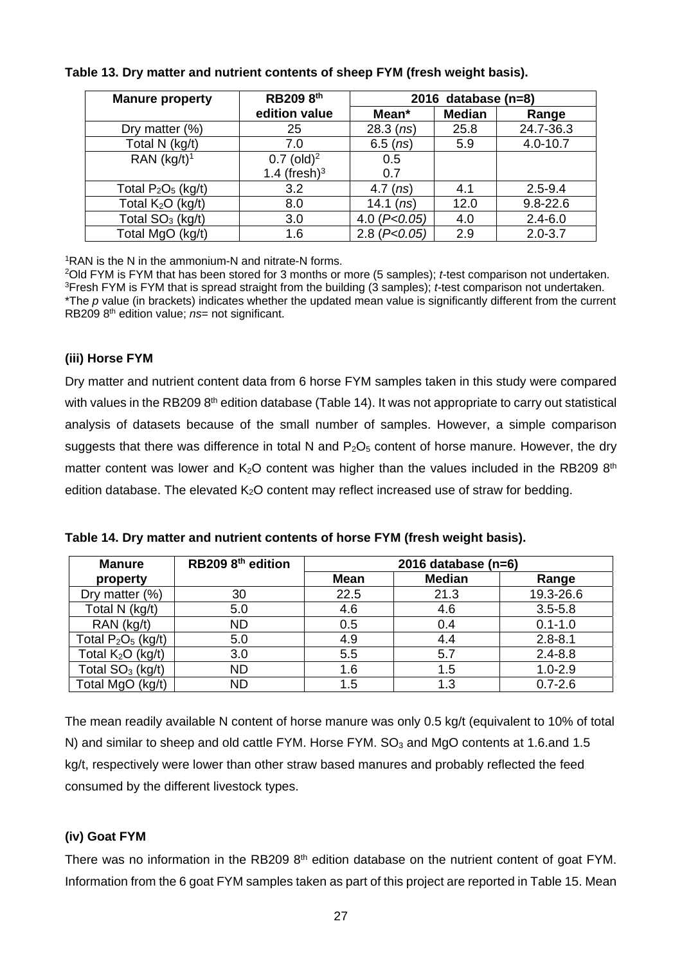| <b>Manure property</b> | RB209 8th                | 2016 database $(n=8)$ |               |              |  |
|------------------------|--------------------------|-----------------------|---------------|--------------|--|
|                        | edition value            | Mean*                 | <b>Median</b> | Range        |  |
| Dry matter (%)         | 25                       | $28.3$ (ns)           | 25.8          | 24.7-36.3    |  |
| Total N (kg/t)         | 7.0                      | $6.5$ ( $ns$ )        | 5.9           | $4.0 - 10.7$ |  |
| RAN $(kg/t)^1$         | $0.7$ (old) <sup>2</sup> | 0.5                   |               |              |  |
|                        | 1.4 (fresh) $3$          | 0.7                   |               |              |  |
| Total $P_2O_5$ (kg/t)  | 3.2                      | $4.7$ (ns)            | 4.1           | $2.5 - 9.4$  |  |
| Total $K2O$ (kg/t)     | 8.0                      | 14.1 $(ns)$           | 12.0          | $9.8 - 22.6$ |  |
| Total $SO3$ (kg/t)     | 3.0                      | 4.0 $(P<0.05)$        | 4.0           | $2.4 - 6.0$  |  |
| Total MgO (kg/t)       | 1.6                      | 2.8 (P<0.05)          | 2.9           | $2.0 - 3.7$  |  |

#### **Table 13. Dry matter and nutrient contents of sheep FYM (fresh weight basis).**

1RAN is the N in the ammonium-N and nitrate-N forms.

2Old FYM is FYM that has been stored for 3 months or more (5 samples); *t-*test comparison not undertaken. 3Fresh FYM is FYM that is spread straight from the building (3 samples); *t-*test comparison not undertaken. \*The *p* value (in brackets) indicates whether the updated mean value is significantly different from the current RB209 8th edition value; *ns*= not significant.

#### **(iii) Horse FYM**

Dry matter and nutrient content data from 6 horse FYM samples taken in this study were compared with values in the RB209 8<sup>th</sup> edition database (Table 14). It was not appropriate to carry out statistical analysis of datasets because of the small number of samples. However, a simple comparison suggests that there was difference in total N and  $P_2O_5$  content of horse manure. However, the dry matter content was lower and  $K_2O$  content was higher than the values included in the RB209 8<sup>th</sup> edition database. The elevated  $K<sub>2</sub>O$  content may reflect increased use of straw for bedding.

| <b>Manure</b>         | RB209 8 <sup>th</sup> edition | 2016 database $(n=6)$ |               |             |  |  |  |
|-----------------------|-------------------------------|-----------------------|---------------|-------------|--|--|--|
| property              |                               | <b>Mean</b>           | <b>Median</b> | Range       |  |  |  |
| Dry matter (%)        | 30                            | 22.5                  | 21.3          | 19.3-26.6   |  |  |  |
| Total N (kg/t)        | 5.0                           | 4.6                   | 4.6           | $3.5 - 5.8$ |  |  |  |
| RAN (kg/t)            | <b>ND</b>                     | 0.5                   | 0.4           | $0.1 - 1.0$ |  |  |  |
| Total $P_2O_5$ (kg/t) | 5.0                           | 4.9                   | 4.4           | $2.8 - 8.1$ |  |  |  |
| Total $K2O$ (kg/t)    | 3.0                           | 5.5                   | 5.7           | $2.4 - 8.8$ |  |  |  |
| Total $SO3$ (kg/t)    | <b>ND</b>                     | 1.6                   | 1.5           | $1.0 - 2.9$ |  |  |  |

Total MgO (kg/t) | ND | 1.5 | 1.3 | 0.7-2.6

**Table 14. Dry matter and nutrient contents of horse FYM (fresh weight basis).** 

The mean readily available N content of horse manure was only 0.5 kg/t (equivalent to 10% of total N) and similar to sheep and old cattle FYM. Horse FYM.  $SO<sub>3</sub>$  and MgO contents at 1.6.and 1.5 kg/t, respectively were lower than other straw based manures and probably reflected the feed consumed by the different livestock types.

#### **(iv) Goat FYM**

There was no information in the RB209 8<sup>th</sup> edition database on the nutrient content of goat FYM. Information from the 6 goat FYM samples taken as part of this project are reported in Table 15. Mean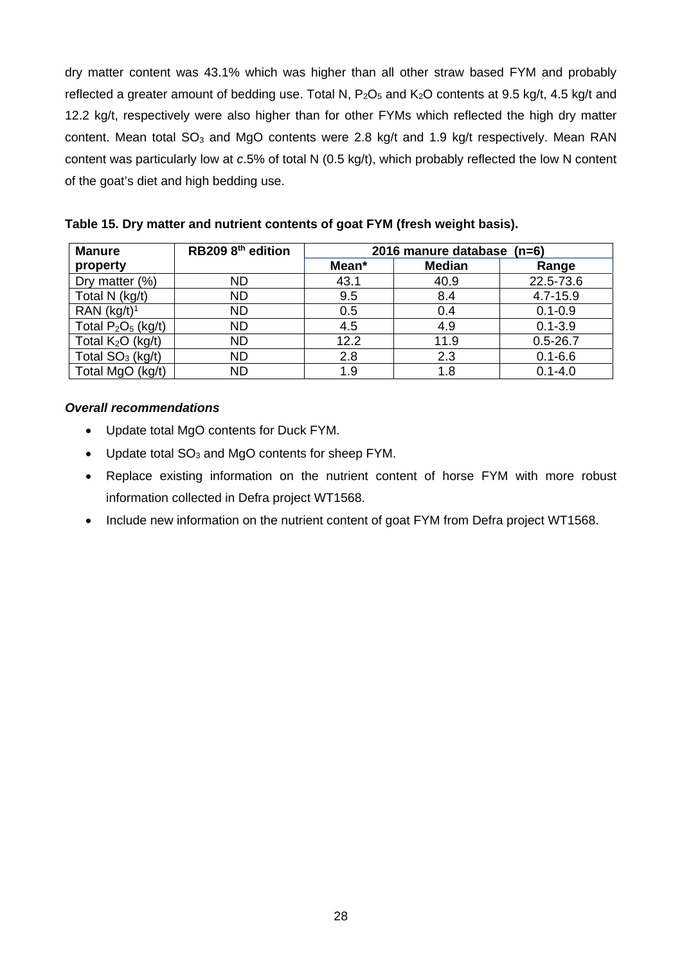dry matter content was 43.1% which was higher than all other straw based FYM and probably reflected a greater amount of bedding use. Total N,  $P_2O_5$  and  $K_2O$  contents at 9.5 kg/t, 4.5 kg/t and 12.2 kg/t, respectively were also higher than for other FYMs which reflected the high dry matter content. Mean total SO<sub>3</sub> and MgO contents were 2.8 kg/t and 1.9 kg/t respectively. Mean RAN content was particularly low at *c*.5% of total N (0.5 kg/t), which probably reflected the low N content of the goat's diet and high bedding use.

| <b>Manure</b>         | RB209 8 <sup>th</sup> edition | 2016 manure database (n=6) |               |              |  |  |
|-----------------------|-------------------------------|----------------------------|---------------|--------------|--|--|
| property              |                               | Mean*                      | <b>Median</b> | Range        |  |  |
| Dry matter (%)        | ND                            | 43.1                       | 40.9          | 22.5-73.6    |  |  |
| Total N (kg/t)        | ND                            | 9.5                        | 8.4           | 4.7-15.9     |  |  |
| RAN $(kg/t)^1$        | <b>ND</b>                     | 0.5                        | 0.4           | $0.1 - 0.9$  |  |  |
| Total $P_2O_5$ (kg/t) | <b>ND</b>                     | 4.5                        | 4.9           | $0.1 - 3.9$  |  |  |
| Total $K_2O$ (kg/t)   | <b>ND</b>                     | 12.2                       | 11.9          | $0.5 - 26.7$ |  |  |
| Total $SO3$ (kg/t)    | <b>ND</b>                     | 2.8                        | 2.3           | $0.1 - 6.6$  |  |  |
| Total MgO (kg/t)      | <b>ND</b>                     | 1.9                        | 1.8           | $0.1 - 4.0$  |  |  |

**Table 15. Dry matter and nutrient contents of goat FYM (fresh weight basis).** 

#### *Overall recommendations*

- Update total MgO contents for Duck FYM.
- Update total  $SO_3$  and MgO contents for sheep FYM.
- Replace existing information on the nutrient content of horse FYM with more robust information collected in Defra project WT1568.
- Include new information on the nutrient content of goat FYM from Defra project WT1568.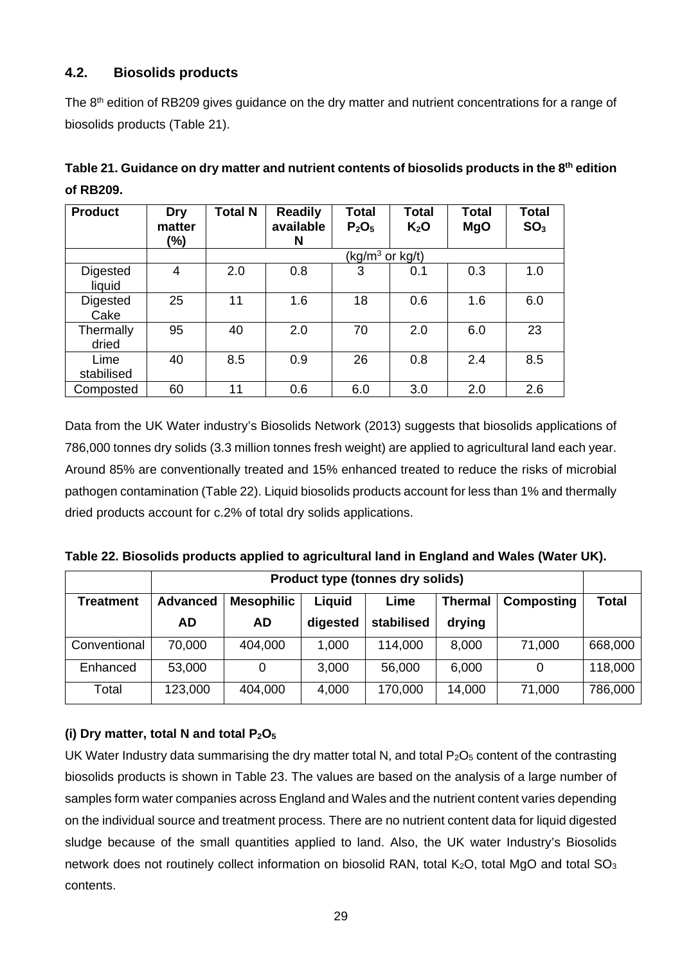## **4.2. Biosolids products**

The 8<sup>th</sup> edition of RB209 gives guidance on the dry matter and nutrient concentrations for a range of biosolids products (Table 21).

| <b>Product</b>     | Dry<br>matter<br>(%) | <b>Total N</b> | <b>Readily</b><br>available<br>N | <b>Total</b><br>$P_2O_5$    | <b>Total</b><br>K <sub>2</sub> O | <b>Total</b><br><b>MgO</b> | <b>Total</b><br>SO <sub>3</sub> |
|--------------------|----------------------|----------------|----------------------------------|-----------------------------|----------------------------------|----------------------------|---------------------------------|
|                    |                      |                |                                  | $(kg/m^3 \text{ or } kg/t)$ |                                  |                            |                                 |
| Digested<br>liquid | 4                    | 2.0            | 0.8                              | 3                           | 0.1                              | 0.3                        | 1.0                             |
| Digested<br>Cake   | 25                   | 11             | 1.6                              | 18                          | 0.6                              | 1.6                        | 6.0                             |
| Thermally<br>dried | 95                   | 40             | 2.0                              | 70                          | 2.0                              | 6.0                        | 23                              |
| Lime<br>stabilised | 40                   | 8.5            | 0.9                              | 26                          | 0.8                              | 2.4                        | 8.5                             |
| Composted          | 60                   | 11             | 0.6                              | 6.0                         | 3.0                              | 2.0                        | 2.6                             |

## Table 21. Guidance on dry matter and nutrient contents of biosolids products in the 8<sup>th</sup> edition **of RB209.**

Data from the UK Water industry's Biosolids Network (2013) suggests that biosolids applications of 786,000 tonnes dry solids (3.3 million tonnes fresh weight) are applied to agricultural land each year. Around 85% are conventionally treated and 15% enhanced treated to reduce the risks of microbial pathogen contamination (Table 22). Liquid biosolids products account for less than 1% and thermally dried products account for c.2% of total dry solids applications.

|  |  | Table 22. Biosolids products applied to agricultural land in England and Wales (Water UK). |  |  |
|--|--|--------------------------------------------------------------------------------------------|--|--|
|  |  |                                                                                            |  |  |

|                  | <b>Product type (tonnes dry solids)</b> |                   |          |            |                |                   |              |
|------------------|-----------------------------------------|-------------------|----------|------------|----------------|-------------------|--------------|
| <b>Treatment</b> | <b>Advanced</b>                         | <b>Mesophilic</b> | Liquid   | Lime       | <b>Thermal</b> | <b>Composting</b> | <b>Total</b> |
|                  | <b>AD</b>                               | <b>AD</b>         | digested | stabilised | drying         |                   |              |
| Conventional     | 70,000                                  | 404,000           | 1,000    | 114,000    | 8,000          | 71,000            | 668,000      |
| Enhanced         | 53,000                                  | 0                 | 3,000    | 56,000     | 6,000          | 0                 | 118,000      |
| Total            | 123,000                                 | 404,000           | 4,000    | 170,000    | 14,000         | 71,000            | 786,000      |

## **(i) Dry matter, total N and total P2O5**

UK Water Industry data summarising the dry matter total N, and total  $P_2O_5$  content of the contrasting biosolids products is shown in Table 23. The values are based on the analysis of a large number of samples form water companies across England and Wales and the nutrient content varies depending on the individual source and treatment process. There are no nutrient content data for liquid digested sludge because of the small quantities applied to land. Also, the UK water Industry's Biosolids network does not routinely collect information on biosolid RAN, total  $K_2O$ , total MgO and total  $SO_3$ contents.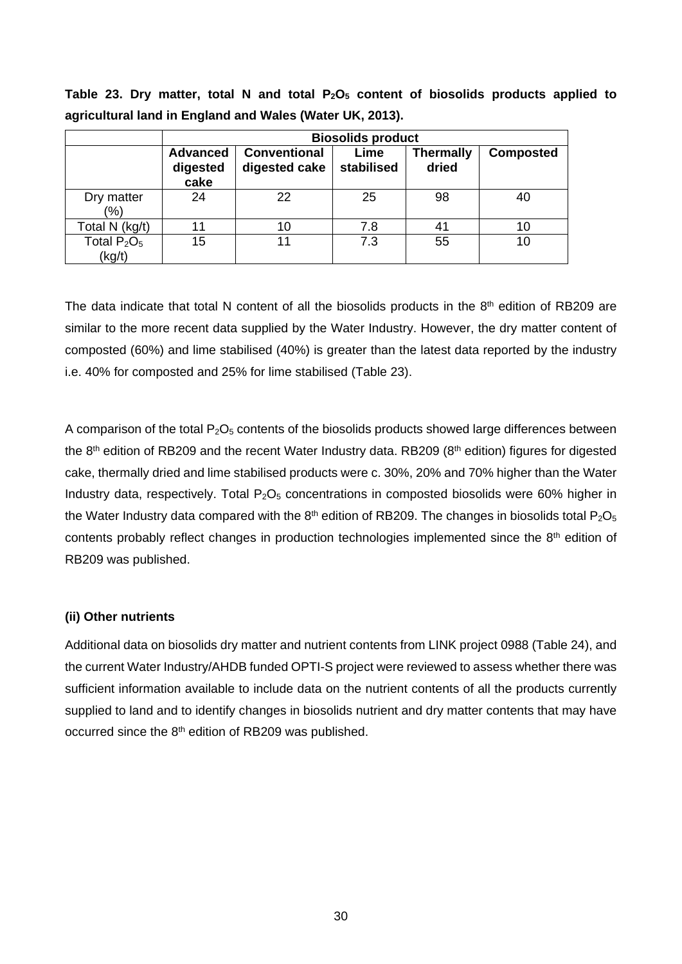Table 23. Dry matter, total N and total P<sub>2</sub>O<sub>5</sub> content of biosolids products applied to **agricultural land in England and Wales (Water UK, 2013).** 

|                          | <b>Biosolids product</b>            |                                      |                    |                           |                  |  |  |  |  |
|--------------------------|-------------------------------------|--------------------------------------|--------------------|---------------------------|------------------|--|--|--|--|
|                          | <b>Advanced</b><br>digested<br>cake | <b>Conventional</b><br>digested cake | Lime<br>stabilised | <b>Thermally</b><br>dried | <b>Composted</b> |  |  |  |  |
| Dry matter<br>(%)        | 24                                  | 22                                   | 25                 | 98                        | 40               |  |  |  |  |
| Total N (kg/t)           | 11                                  | 10                                   | 7.8                | 41                        | 10               |  |  |  |  |
| Total $P_2O_5$<br>(kg/t) | 15                                  | 11                                   | 7.3                | 55                        | 10               |  |  |  |  |

The data indicate that total N content of all the biosolids products in the  $8<sup>th</sup>$  edition of RB209 are similar to the more recent data supplied by the Water Industry. However, the dry matter content of composted (60%) and lime stabilised (40%) is greater than the latest data reported by the industry i.e. 40% for composted and 25% for lime stabilised (Table 23).

A comparison of the total  $P_2O_5$  contents of the biosolids products showed large differences between the 8<sup>th</sup> edition of RB209 and the recent Water Industry data. RB209 (8<sup>th</sup> edition) figures for digested cake, thermally dried and lime stabilised products were c. 30%, 20% and 70% higher than the Water Industry data, respectively. Total  $P_2O_5$  concentrations in composted biosolids were 60% higher in the Water Industry data compared with the 8<sup>th</sup> edition of RB209. The changes in biosolids total  $P_2O_5$ contents probably reflect changes in production technologies implemented since the  $8<sup>th</sup>$  edition of RB209 was published.

#### **(ii) Other nutrients**

Additional data on biosolids dry matter and nutrient contents from LINK project 0988 (Table 24), and the current Water Industry/AHDB funded OPTI-S project were reviewed to assess whether there was sufficient information available to include data on the nutrient contents of all the products currently supplied to land and to identify changes in biosolids nutrient and dry matter contents that may have occurred since the 8<sup>th</sup> edition of RB209 was published.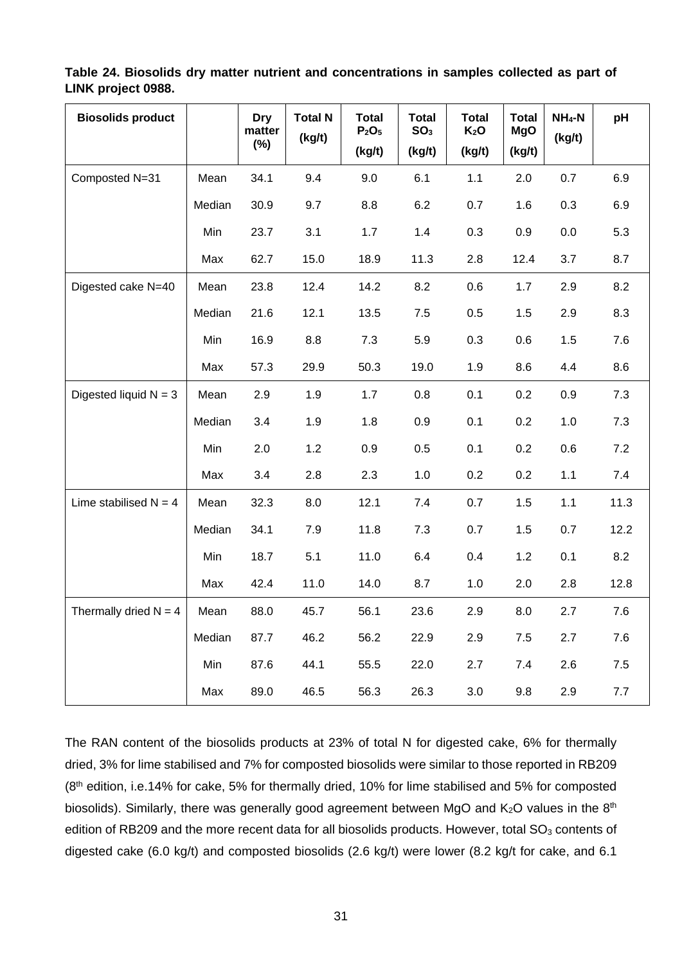#### **Table 24. Biosolids dry matter nutrient and concentrations in samples collected as part of LINK project 0988.**

| <b>Biosolids product</b> |        | <b>Dry</b><br>matter<br>$(\%)$ | <b>Total N</b><br>(kg/t) | <b>Total</b><br>P <sub>2</sub> O <sub>5</sub><br>(kg/t) | <b>Total</b><br>SO <sub>3</sub><br>(kg/t) | <b>Total</b><br>K <sub>2</sub> O<br>(kg/t) | <b>Total</b><br><b>MgO</b><br>(kg/t) | $NH_4-N$<br>(kg/t) | pH   |
|--------------------------|--------|--------------------------------|--------------------------|---------------------------------------------------------|-------------------------------------------|--------------------------------------------|--------------------------------------|--------------------|------|
| Composted N=31           | Mean   | 34.1                           | 9.4                      | 9.0                                                     | 6.1                                       | 1.1                                        | 2.0                                  | 0.7                | 6.9  |
|                          | Median | 30.9                           | 9.7                      | 8.8                                                     | 6.2                                       | 0.7                                        | 1.6                                  | 0.3                | 6.9  |
|                          | Min    | 23.7                           | 3.1                      | 1.7                                                     | 1.4                                       | 0.3                                        | 0.9                                  | 0.0                | 5.3  |
|                          | Max    | 62.7                           | 15.0                     | 18.9                                                    | 11.3                                      | 2.8                                        | 12.4                                 | 3.7                | 8.7  |
| Digested cake N=40       | Mean   | 23.8                           | 12.4                     | 14.2                                                    | 8.2                                       | 0.6                                        | 1.7                                  | 2.9                | 8.2  |
|                          | Median | 21.6                           | 12.1                     | 13.5                                                    | 7.5                                       | 0.5                                        | 1.5                                  | 2.9                | 8.3  |
|                          | Min    | 16.9                           | 8.8                      | 7.3                                                     | 5.9                                       | 0.3                                        | 0.6                                  | 1.5                | 7.6  |
|                          | Max    | 57.3                           | 29.9                     | 50.3                                                    | 19.0                                      | 1.9                                        | 8.6                                  | 4.4                | 8.6  |
| Digested liquid $N = 3$  | Mean   | 2.9                            | 1.9                      | 1.7                                                     | 0.8                                       | 0.1                                        | 0.2                                  | 0.9                | 7.3  |
|                          | Median | 3.4                            | 1.9                      | 1.8                                                     | 0.9                                       | 0.1                                        | 0.2                                  | 1.0                | 7.3  |
|                          | Min    | 2.0                            | 1.2                      | 0.9                                                     | 0.5                                       | 0.1                                        | 0.2                                  | 0.6                | 7.2  |
|                          | Max    | 3.4                            | 2.8                      | 2.3                                                     | 1.0                                       | 0.2                                        | 0.2                                  | 1.1                | 7.4  |
| Lime stabilised $N = 4$  | Mean   | 32.3                           | 8.0                      | 12.1                                                    | 7.4                                       | 0.7                                        | 1.5                                  | 1.1                | 11.3 |
|                          | Median | 34.1                           | 7.9                      | 11.8                                                    | 7.3                                       | 0.7                                        | 1.5                                  | 0.7                | 12.2 |
|                          | Min    | 18.7                           | 5.1                      | 11.0                                                    | 6.4                                       | 0.4                                        | 1.2                                  | 0.1                | 8.2  |
|                          | Max    | 42.4                           | 11.0                     | 14.0                                                    | 8.7                                       | 1.0                                        | 2.0                                  | 2.8                | 12.8 |
| Thermally dried $N = 4$  | Mean   | 88.0                           | 45.7                     | 56.1                                                    | 23.6                                      | 2.9                                        | 8.0                                  | 2.7                | 7.6  |
|                          | Median | 87.7                           | 46.2                     | 56.2                                                    | 22.9                                      | 2.9                                        | 7.5                                  | 2.7                | 7.6  |
|                          | Min    | 87.6                           | 44.1                     | 55.5                                                    | 22.0                                      | 2.7                                        | 7.4                                  | 2.6                | 7.5  |
|                          | Max    | 89.0                           | 46.5                     | 56.3                                                    | 26.3                                      | 3.0                                        | 9.8                                  | 2.9                | 7.7  |

The RAN content of the biosolids products at 23% of total N for digested cake, 6% for thermally dried, 3% for lime stabilised and 7% for composted biosolids were similar to those reported in RB209 (8th edition, i.e.14% for cake, 5% for thermally dried, 10% for lime stabilised and 5% for composted biosolids). Similarly, there was generally good agreement between MgO and  $K_2O$  values in the  $8<sup>th</sup>$ edition of RB209 and the more recent data for all biosolids products. However, total  $SO<sub>3</sub>$  contents of digested cake (6.0 kg/t) and composted biosolids (2.6 kg/t) were lower (8.2 kg/t for cake, and 6.1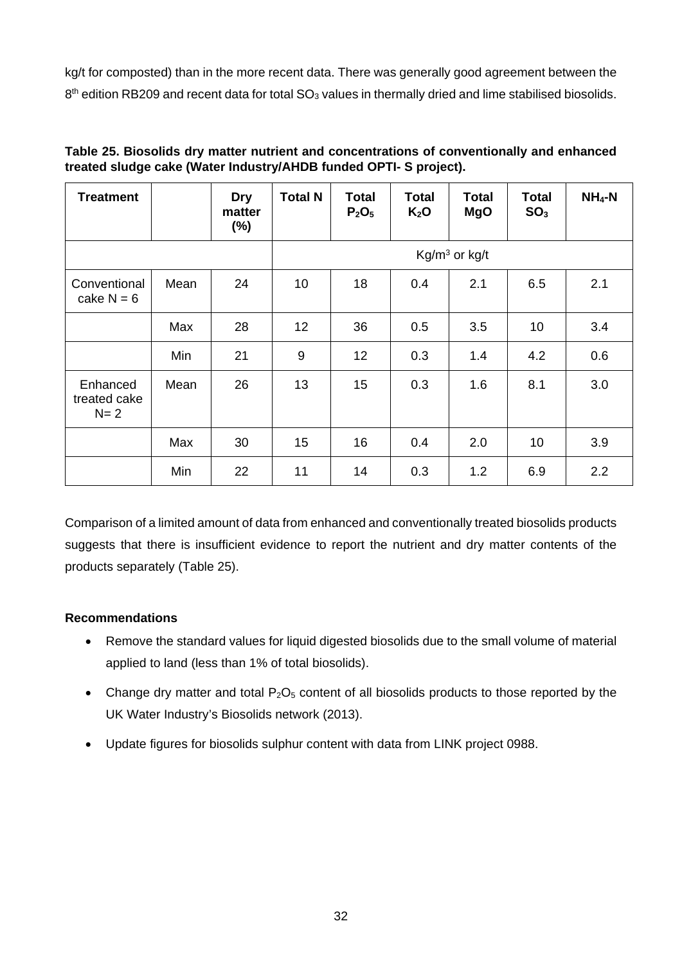kg/t for composted) than in the more recent data. There was generally good agreement between the  $8<sup>th</sup>$  edition RB209 and recent data for total SO<sub>3</sub> values in thermally dried and lime stabilised biosolids.

| <b>Treatment</b>                    |      | Dry<br>matter<br>$(\%)$ | <b>Total N</b>  | <b>Total</b><br>P <sub>2</sub> O <sub>5</sub> | <b>Total</b><br>$K_2O$ | <b>Total</b><br><b>MgO</b> | Total<br>SO <sub>3</sub> | $NH_4-N$ |
|-------------------------------------|------|-------------------------|-----------------|-----------------------------------------------|------------------------|----------------------------|--------------------------|----------|
|                                     |      |                         |                 | $Kg/m3$ or kg/t                               |                        |                            |                          |          |
| Conventional<br>cake $N = 6$        | Mean | 24                      | 10              | 18                                            | 0.4                    | 2.1                        | 6.5                      | 2.1      |
|                                     | Max  | 28                      | 12 <sub>2</sub> | 36                                            | 0.5                    | 3.5                        | 10                       | 3.4      |
|                                     | Min  | 21                      | 9               | 12                                            | 0.3                    | 1.4                        | 4.2                      | 0.6      |
| Enhanced<br>treated cake<br>$N = 2$ | Mean | 26                      | 13              | 15                                            | 0.3                    | 1.6                        | 8.1                      | 3.0      |
|                                     | Max  | 30                      | 15              | 16                                            | 0.4                    | 2.0                        | 10                       | 3.9      |
|                                     | Min  | 22                      | 11              | 14                                            | 0.3                    | 1.2                        | 6.9                      | 2.2      |

### **Table 25. Biosolids dry matter nutrient and concentrations of conventionally and enhanced treated sludge cake (Water Industry/AHDB funded OPTI- S project).**

Comparison of a limited amount of data from enhanced and conventionally treated biosolids products suggests that there is insufficient evidence to report the nutrient and dry matter contents of the products separately (Table 25).

## **Recommendations**

- Remove the standard values for liquid digested biosolids due to the small volume of material applied to land (less than 1% of total biosolids).
- Change dry matter and total  $P_2O_5$  content of all biosolids products to those reported by the UK Water Industry's Biosolids network (2013).
- Update figures for biosolids sulphur content with data from LINK project 0988.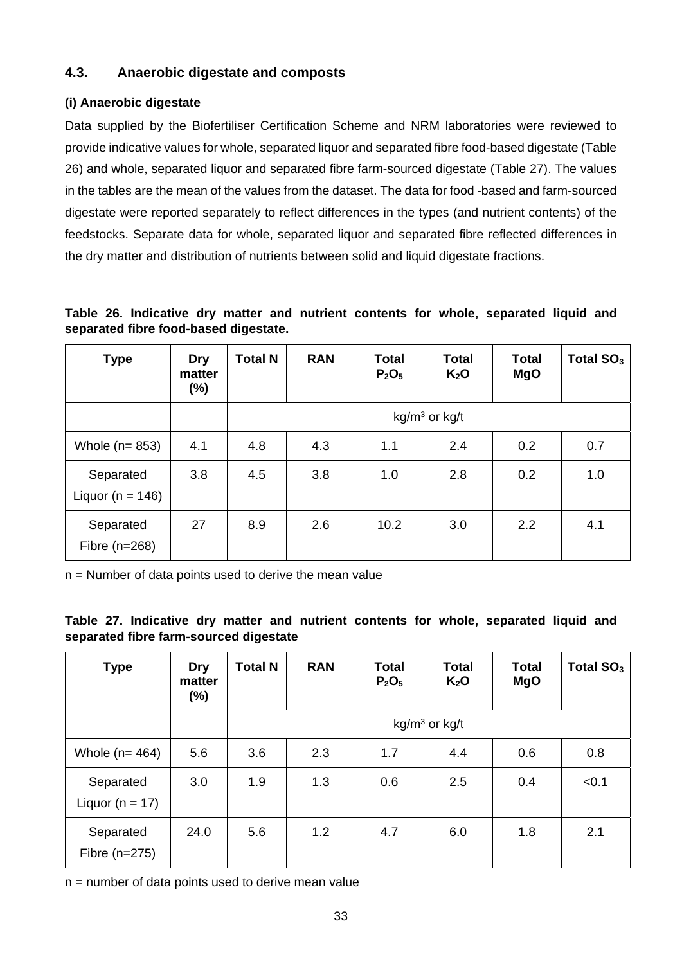## **4.3. Anaerobic digestate and composts**

#### **(i) Anaerobic digestate**

Data supplied by the Biofertiliser Certification Scheme and NRM laboratories were reviewed to provide indicative values for whole, separated liquor and separated fibre food-based digestate (Table 26) and whole, separated liquor and separated fibre farm-sourced digestate (Table 27). The values in the tables are the mean of the values from the dataset. The data for food -based and farm-sourced digestate were reported separately to reflect differences in the types (and nutrient contents) of the feedstocks. Separate data for whole, separated liquor and separated fibre reflected differences in the dry matter and distribution of nutrients between solid and liquid digestate fractions.

**Table 26. Indicative dry matter and nutrient contents for whole, separated liquid and separated fibre food-based digestate.** 

| <b>Type</b>                       | Dry<br>matter<br>$(\%)$ | <b>Total N</b> | <b>RAN</b> | <b>Total</b><br>P <sub>2</sub> O <sub>5</sub> | <b>Total</b><br>$K_2O$ | <b>Total</b><br><b>MgO</b> | Total SO <sub>3</sub> |
|-----------------------------------|-------------------------|----------------|------------|-----------------------------------------------|------------------------|----------------------------|-----------------------|
|                                   |                         |                |            |                                               | $kg/m3$ or kg/t        |                            |                       |
| Whole $(n=853)$                   | 4.1                     | 4.8            | 4.3        | 1.1                                           | 2.4                    | 0.2                        | 0.7                   |
| Separated<br>Liquor ( $n = 146$ ) | 3.8                     | 4.5            | 3.8        | 1.0                                           | 2.8                    | 0.2                        | 1.0                   |
| Separated<br>Fibre $(n=268)$      | 27                      | 8.9            | 2.6        | 10.2                                          | 3.0                    | 2.2                        | 4.1                   |

n = Number of data points used to derive the mean value

|  |                                        |  |  |  | Table 27. Indicative dry matter and nutrient contents for whole, separated liquid and |  |
|--|----------------------------------------|--|--|--|---------------------------------------------------------------------------------------|--|
|  | separated fibre farm-sourced digestate |  |  |  |                                                                                       |  |

| <b>Type</b>                      | Dry<br>matter<br>(%) | <b>Total N</b> | <b>RAN</b> | <b>Total</b><br>$P_2O_5$ | <b>Total</b><br>K <sub>2</sub> O | <b>Total</b><br><b>MgO</b> | Total SO <sub>3</sub> |
|----------------------------------|----------------------|----------------|------------|--------------------------|----------------------------------|----------------------------|-----------------------|
|                                  |                      |                |            |                          | $kg/m3$ or kg/t                  |                            |                       |
| Whole $(n=464)$                  | 5.6                  | 3.6            | 2.3        | 1.7                      | 4.4                              | 0.6                        | 0.8                   |
| Separated<br>Liquor ( $n = 17$ ) | 3.0                  | 1.9            | 1.3        | 0.6                      | 2.5                              | 0.4                        | < 0.1                 |
| Separated<br>Fibre $(n=275)$     | 24.0                 | 5.6            | 1.2        | 4.7                      | 6.0                              | 1.8                        | 2.1                   |

 $n =$  number of data points used to derive mean value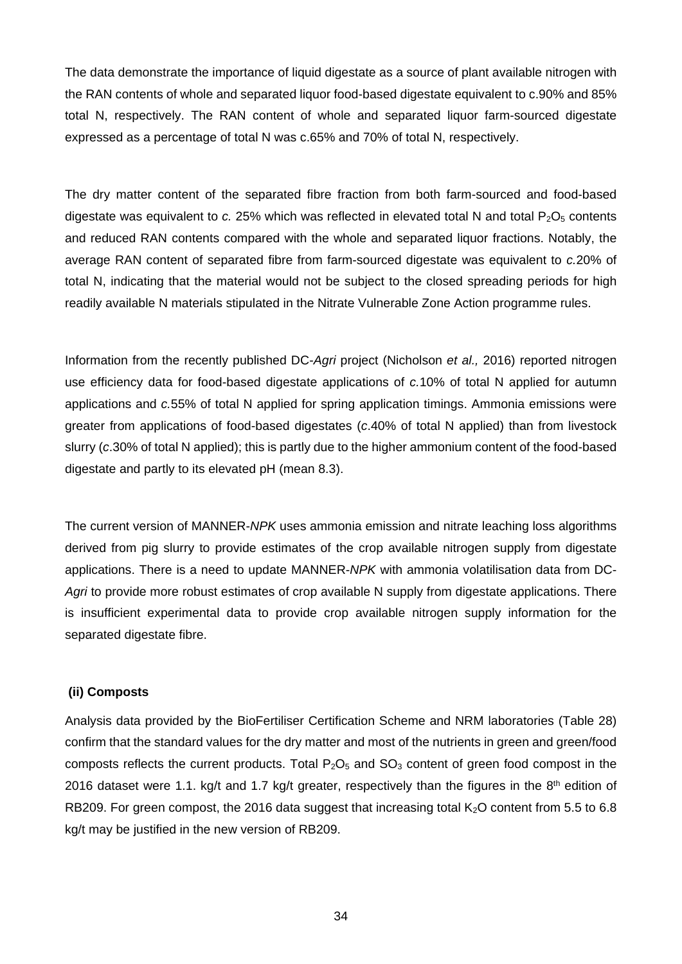The data demonstrate the importance of liquid digestate as a source of plant available nitrogen with the RAN contents of whole and separated liquor food-based digestate equivalent to c.90% and 85% total N, respectively. The RAN content of whole and separated liquor farm-sourced digestate expressed as a percentage of total N was c.65% and 70% of total N, respectively.

The dry matter content of the separated fibre fraction from both farm-sourced and food-based digestate was equivalent to  $c. 25%$  which was reflected in elevated total N and total  $P_2O_5$  contents and reduced RAN contents compared with the whole and separated liquor fractions. Notably, the average RAN content of separated fibre from farm-sourced digestate was equivalent to *c.*20% of total N, indicating that the material would not be subject to the closed spreading periods for high readily available N materials stipulated in the Nitrate Vulnerable Zone Action programme rules.

Information from the recently published DC-*Agri* project (Nicholson *et al.,* 2016) reported nitrogen use efficiency data for food-based digestate applications of *c.*10% of total N applied for autumn applications and *c.*55% of total N applied for spring application timings. Ammonia emissions were greater from applications of food-based digestates (*c*.40% of total N applied) than from livestock slurry (*c*.30% of total N applied); this is partly due to the higher ammonium content of the food-based digestate and partly to its elevated pH (mean 8.3).

The current version of MANNER-*NPK* uses ammonia emission and nitrate leaching loss algorithms derived from pig slurry to provide estimates of the crop available nitrogen supply from digestate applications. There is a need to update MANNER-*NPK* with ammonia volatilisation data from DC-*Agri* to provide more robust estimates of crop available N supply from digestate applications. There is insufficient experimental data to provide crop available nitrogen supply information for the separated digestate fibre.

#### **(ii) Composts**

Analysis data provided by the BioFertiliser Certification Scheme and NRM laboratories (Table 28) confirm that the standard values for the dry matter and most of the nutrients in green and green/food composts reflects the current products. Total  $P_2O_5$  and  $SO_3$  content of green food compost in the 2016 dataset were 1.1. kg/t and 1.7 kg/t greater, respectively than the figures in the  $8<sup>th</sup>$  edition of RB209. For green compost, the 2016 data suggest that increasing total  $K_2O$  content from 5.5 to 6.8 kg/t may be justified in the new version of RB209.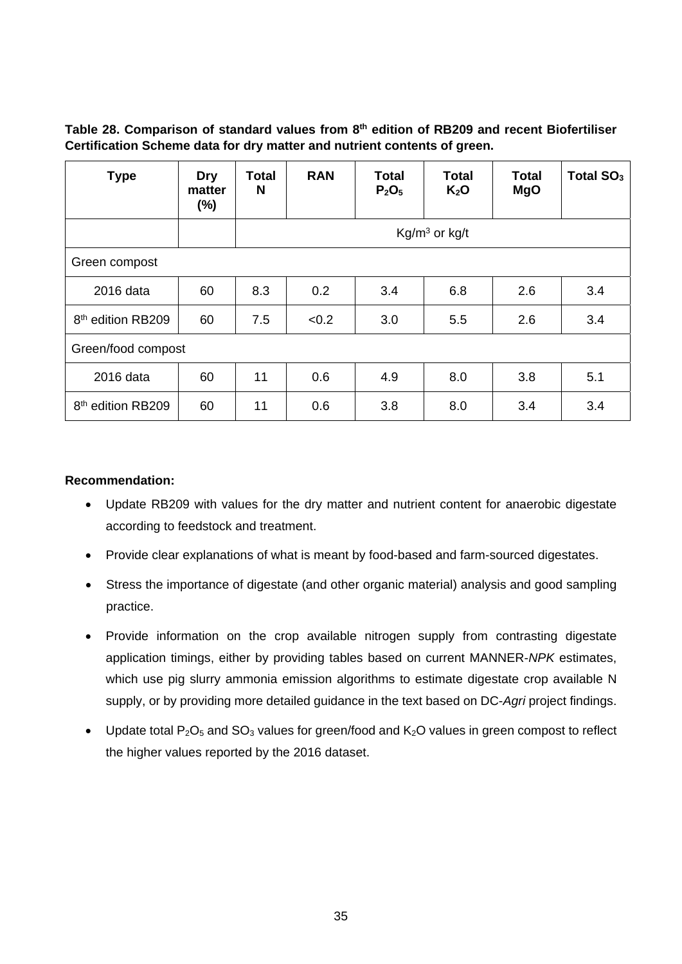**Table 28. Comparison of standard values from 8th edition of RB209 and recent Biofertiliser Certification Scheme data for dry matter and nutrient contents of green.** 

| <b>Type</b>                      | <b>Dry</b><br>matter<br>(%) | Total<br>N | <b>RAN</b> | Total<br>P <sub>2</sub> O <sub>5</sub> | <b>Total</b><br>K <sub>2</sub> O | <b>Total</b><br><b>MgO</b> | Total $SO3$ |  |
|----------------------------------|-----------------------------|------------|------------|----------------------------------------|----------------------------------|----------------------------|-------------|--|
|                                  |                             |            |            |                                        | $Kg/m3$ or kg/t                  |                            |             |  |
| Green compost                    |                             |            |            |                                        |                                  |                            |             |  |
| 2016 data                        | 60                          | 8.3        | 0.2        | 3.4                                    | 6.8                              | 2.6                        | 3.4         |  |
| 8 <sup>th</sup> edition RB209    | 60                          | 7.5        | < 0.2      | 3.0                                    | 5.5                              | 2.6                        | 3.4         |  |
|                                  | Green/food compost          |            |            |                                        |                                  |                            |             |  |
| 2016 data                        | 60                          | 11         | 0.6        | 4.9                                    | 8.0                              | 3.8                        | 5.1         |  |
| 8 <sup>th</sup><br>edition RB209 | 60                          | 11         | 0.6        | 3.8                                    | 8.0                              | 3.4                        | 3.4         |  |

#### **Recommendation:**

- Update RB209 with values for the dry matter and nutrient content for anaerobic digestate according to feedstock and treatment.
- Provide clear explanations of what is meant by food-based and farm-sourced digestates.
- Stress the importance of digestate (and other organic material) analysis and good sampling practice.
- Provide information on the crop available nitrogen supply from contrasting digestate application timings, either by providing tables based on current MANNER-*NPK* estimates, which use pig slurry ammonia emission algorithms to estimate digestate crop available N supply, or by providing more detailed guidance in the text based on DC-*Agri* project findings.
- Update total  $P_2O_5$  and  $SO_3$  values for green/food and  $K_2O$  values in green compost to reflect the higher values reported by the 2016 dataset.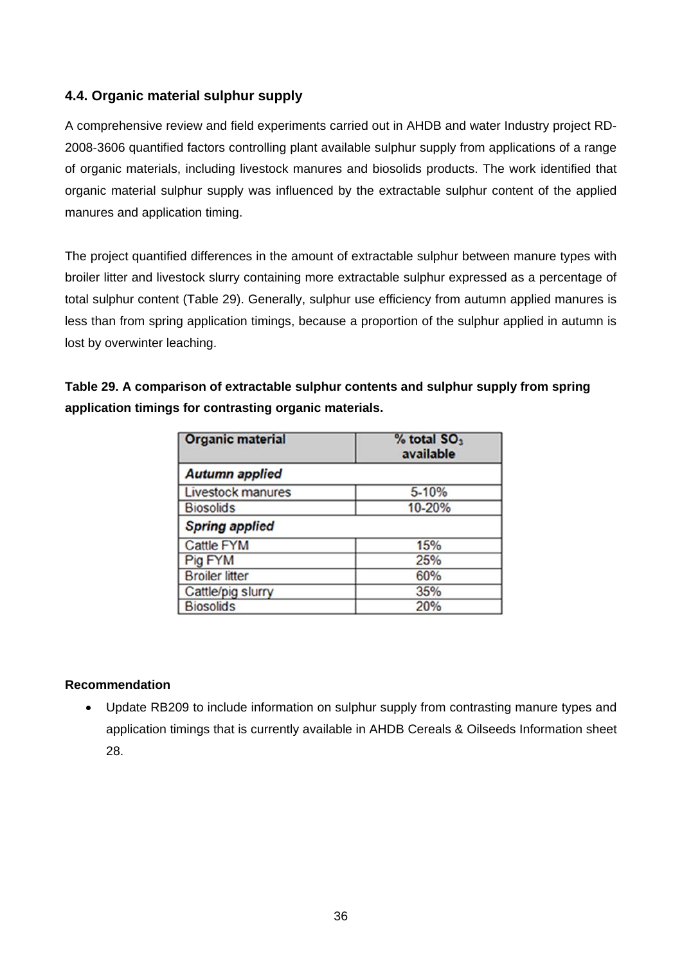### **4.4. Organic material sulphur supply**

A comprehensive review and field experiments carried out in AHDB and water Industry project RD-2008-3606 quantified factors controlling plant available sulphur supply from applications of a range of organic materials, including livestock manures and biosolids products. The work identified that organic material sulphur supply was influenced by the extractable sulphur content of the applied manures and application timing.

The project quantified differences in the amount of extractable sulphur between manure types with broiler litter and livestock slurry containing more extractable sulphur expressed as a percentage of total sulphur content (Table 29). Generally, sulphur use efficiency from autumn applied manures is less than from spring application timings, because a proportion of the sulphur applied in autumn is lost by overwinter leaching.

**Table 29. A comparison of extractable sulphur contents and sulphur supply from spring application timings for contrasting organic materials.** 

| <b>Organic material</b>  | % total SO <sub>3</sub><br>available |  |  |  |  |  |
|--------------------------|--------------------------------------|--|--|--|--|--|
| <b>Autumn applied</b>    |                                      |  |  |  |  |  |
| <b>Livestock manures</b> | 5-10%                                |  |  |  |  |  |
| <b>Biosolids</b>         | 10-20%                               |  |  |  |  |  |
| <b>Spring applied</b>    |                                      |  |  |  |  |  |
| <b>Cattle FYM</b>        | 15%                                  |  |  |  |  |  |
| Pig FYM                  | 25%                                  |  |  |  |  |  |
| <b>Broiler litter</b>    | 60%                                  |  |  |  |  |  |
| Cattle/pig slurry        | 35%                                  |  |  |  |  |  |
| <b>Biosolids</b>         | 20%                                  |  |  |  |  |  |

#### **Recommendation**

• Update RB209 to include information on sulphur supply from contrasting manure types and application timings that is currently available in AHDB Cereals & Oilseeds Information sheet 28.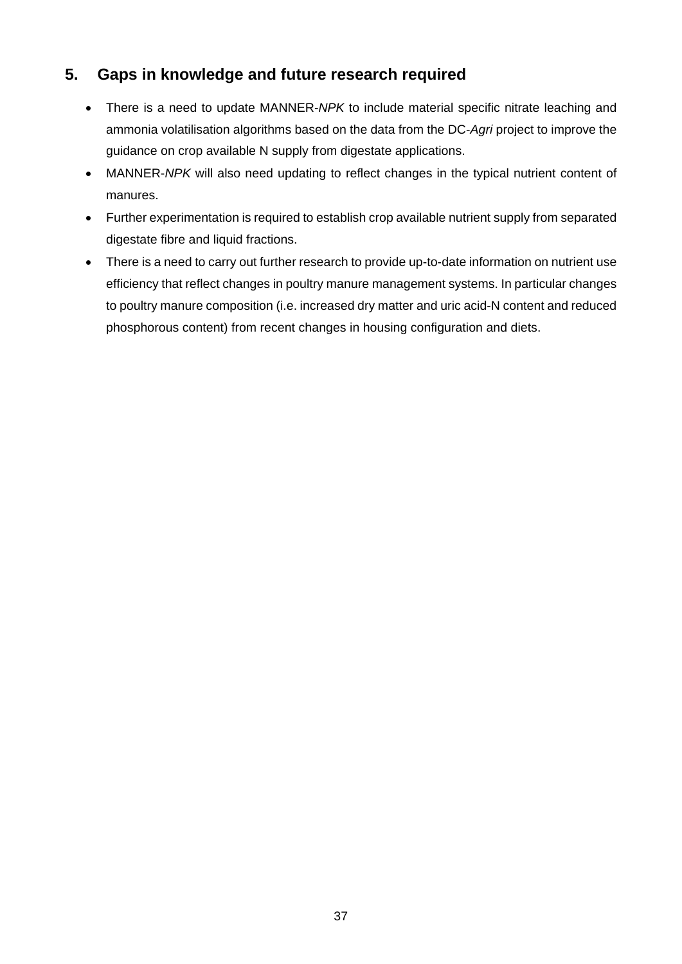## **5. Gaps in knowledge and future research required**

- There is a need to update MANNER-NPK to include material specific nitrate leaching and ammonia volatilisation algorithms based on the data from the DC-*Agri* project to improve the guidance on crop available N supply from digestate applications.
- MANNER-*NPK* will also need updating to reflect changes in the typical nutrient content of manures.
- Further experimentation is required to establish crop available nutrient supply from separated digestate fibre and liquid fractions.
- There is a need to carry out further research to provide up-to-date information on nutrient use efficiency that reflect changes in poultry manure management systems. In particular changes to poultry manure composition (i.e. increased dry matter and uric acid-N content and reduced phosphorous content) from recent changes in housing configuration and diets.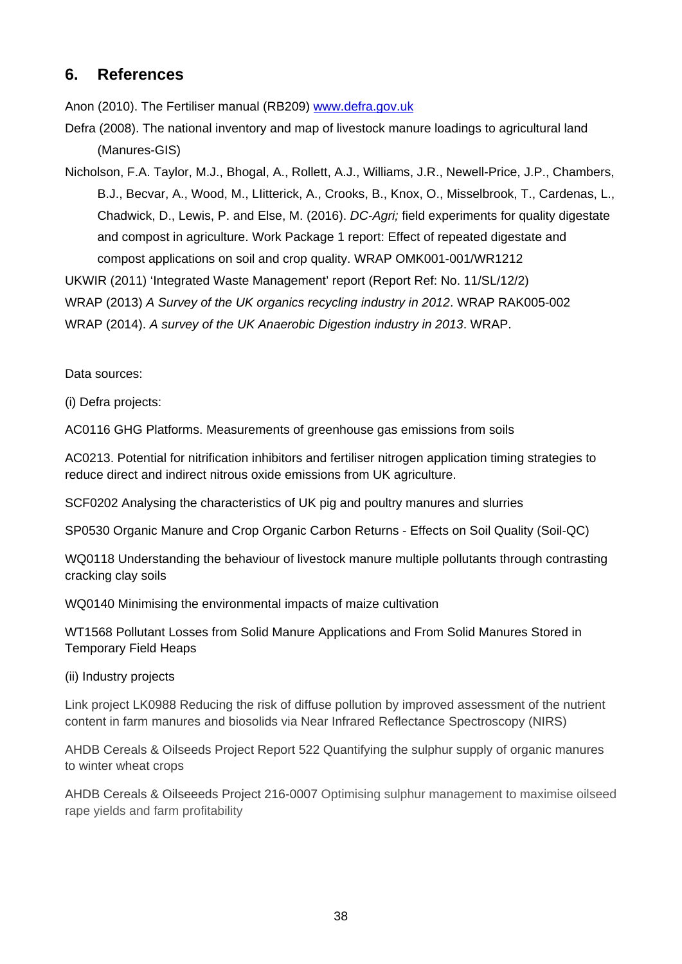## **6. References**

Anon (2010). The Fertiliser manual (RB209) www.defra.gov.uk

Defra (2008). The national inventory and map of livestock manure loadings to agricultural land (Manures-GIS)

Nicholson, F.A. Taylor, M.J., Bhogal, A., Rollett, A.J., Williams, J.R., Newell-Price, J.P., Chambers, B.J., Becvar, A., Wood, M., LIitterick, A., Crooks, B., Knox, O., Misselbrook, T., Cardenas, L., Chadwick, D., Lewis, P. and Else, M. (2016). *DC-Agri;* field experiments for quality digestate and compost in agriculture. Work Package 1 report: Effect of repeated digestate and compost applications on soil and crop quality. WRAP OMK001-001/WR1212

UKWIR (2011) 'Integrated Waste Management' report (Report Ref: No. 11/SL/12/2) WRAP (2013) *A Survey of the UK organics recycling industry in 2012*. WRAP RAK005-002 WRAP (2014). *A survey of the UK Anaerobic Digestion industry in 2013*. WRAP.

Data sources:

(i) Defra projects:

AC0116 GHG Platforms. Measurements of greenhouse gas emissions from soils

AC0213. Potential for nitrification inhibitors and fertiliser nitrogen application timing strategies to reduce direct and indirect nitrous oxide emissions from UK agriculture.

SCF0202 Analysing the characteristics of UK pig and poultry manures and slurries

SP0530 Organic Manure and Crop Organic Carbon Returns - Effects on Soil Quality (Soil-QC)

WQ0118 Understanding the behaviour of livestock manure multiple pollutants through contrasting cracking clay soils

WQ0140 Minimising the environmental impacts of maize cultivation

WT1568 Pollutant Losses from Solid Manure Applications and From Solid Manures Stored in Temporary Field Heaps

(ii) Industry projects

Link project LK0988 Reducing the risk of diffuse pollution by improved assessment of the nutrient content in farm manures and biosolids via Near Infrared Reflectance Spectroscopy (NIRS)

AHDB Cereals & Oilseeds Project Report 522 Quantifying the sulphur supply of organic manures to winter wheat crops

AHDB Cereals & Oilseeeds Project 216-0007 Optimising sulphur management to maximise oilseed rape yields and farm profitability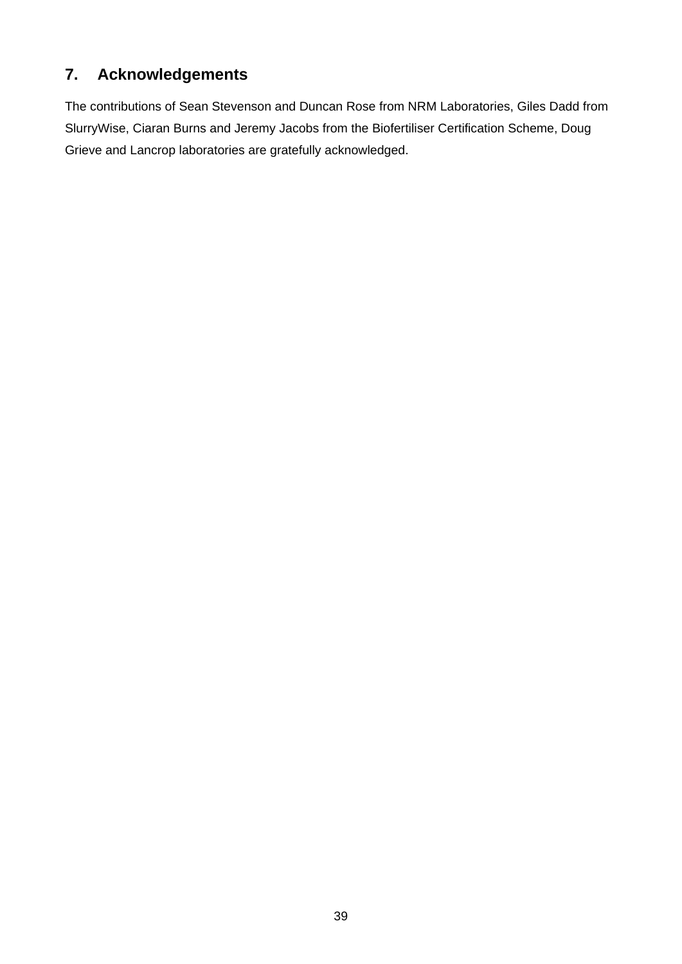# **7. Acknowledgements**

The contributions of Sean Stevenson and Duncan Rose from NRM Laboratories, Giles Dadd from SlurryWise, Ciaran Burns and Jeremy Jacobs from the Biofertiliser Certification Scheme, Doug Grieve and Lancrop laboratories are gratefully acknowledged.